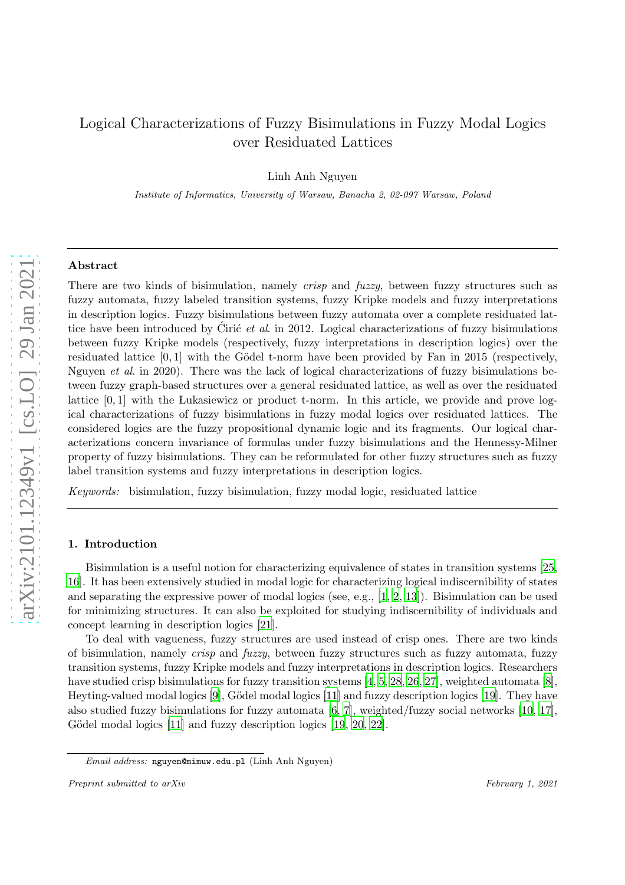# Logical Characterizations of Fuzzy Bisimulations in Fuzzy Modal Logics over Residuated Lattices

Linh Anh Nguyen

Institute of Informatics, University of Warsaw, Banacha 2, 02-097 Warsaw, Poland

# Abstract

There are two kinds of bisimulation, namely *crisp* and *fuzzy*, between fuzzy structures such as fuzzy automata, fuzzy labeled transition systems, fuzzy Kripke models and fuzzy interpretations in description logics. Fuzzy bisimulations between fuzzy automata over a complete residuated lattice have been introduced by Ciric  $et$  al. in 2012. Logical characterizations of fuzzy bisimulations between fuzzy Kripke models (respectively, fuzzy interpretations in description logics) over the residuated lattice  $[0, 1]$  with the Gödel t-norm have been provided by Fan in 2015 (respectively, Nguyen et al. in 2020). There was the lack of logical characterizations of fuzzy bisimulations between fuzzy graph-based structures over a general residuated lattice, as well as over the residuated lattice  $[0, 1]$  with the Lukasiewicz or product t-norm. In this article, we provide and prove logical characterizations of fuzzy bisimulations in fuzzy modal logics over residuated lattices. The considered logics are the fuzzy propositional dynamic logic and its fragments. Our logical characterizations concern invariance of formulas under fuzzy bisimulations and the Hennessy-Milner property of fuzzy bisimulations. They can be reformulated for other fuzzy structures such as fuzzy label transition systems and fuzzy interpretations in description logics.

Keywords: bisimulation, fuzzy bisimulation, fuzzy modal logic, residuated lattice

#### 1. Introduction

Bisimulation is a useful notion for characterizing equivalence of states in transition systems [\[25,](#page-18-0) [16](#page-18-1)]. It has been extensively studied in modal logic for characterizing logical indiscernibility of states and separating the expressive power of modal logics (see, e.g., [\[1](#page-17-0), [2,](#page-17-1) [13](#page-18-2)]). Bisimulation can be used for minimizing structures. It can also be exploited for studying indiscernibility of individuals and concept learning in description logics [\[21](#page-18-3)].

To deal with vagueness, fuzzy structures are used instead of crisp ones. There are two kinds of bisimulation, namely crisp and fuzzy, between fuzzy structures such as fuzzy automata, fuzzy transition systems, fuzzy Kripke models and fuzzy interpretations in description logics. Researchers have studied crisp bisimulations for fuzzy transition systems [\[4](#page-17-2), [5](#page-17-3), 28, 26, 27], weighted automata [\[8\]](#page-17-4), Heyting-valued modal logics  $[9]$ , Gödel modal logics  $[11]$  and fuzzy description logics  $[19]$ . They have also studied fuzzy bisimulations for fuzzy automata [\[6,](#page-17-6) [7\]](#page-17-7), weighted/fuzzy social networks [10, [17\]](#page-18-6), Gödel modal logics [\[11\]](#page-18-4) and fuzzy description logics [\[19,](#page-18-5) [20](#page-18-7), [22\]](#page-18-8).

Email address: nguyen@mimuw.edu.pl (Linh Anh Nguyen)

Preprint submitted to arXiv February 1, 2021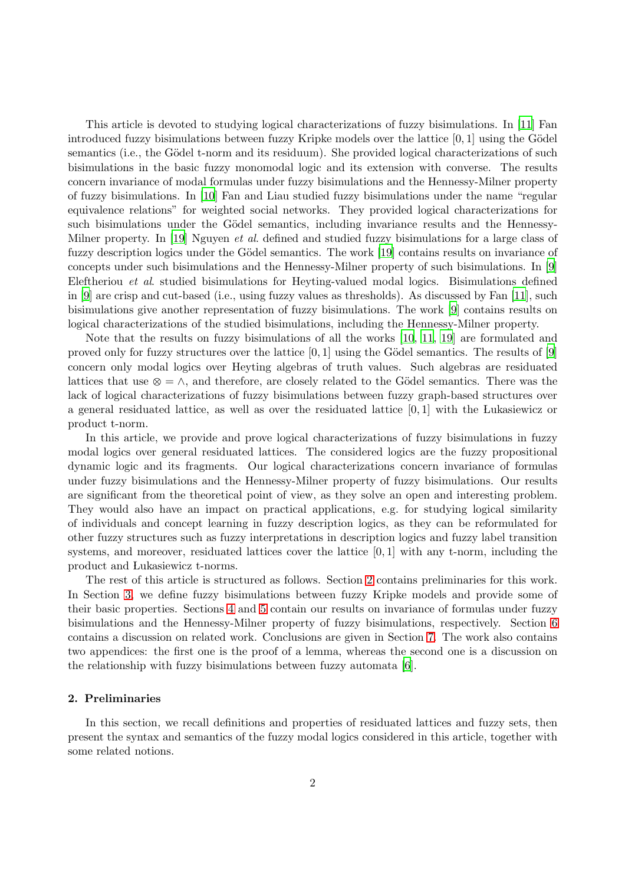This article is devoted to studying logical characterizations of fuzzy bisimulations. In [\[11](#page-18-4)] Fan introduced fuzzy bisimulations between fuzzy Kripke models over the lattice  $[0, 1]$  using the Gödel semantics (i.e., the Gödel t-norm and its residuum). She provided logical characterizations of such bisimulations in the basic fuzzy monomodal logic and its extension with converse. The results concern invariance of modal formulas under fuzzy bisimulations and the Hennessy-Milner property of fuzzy bisimulations. In [10] Fan and Liau studied fuzzy bisimulations under the name "regular equivalence relations" for weighted social networks. They provided logical characterizations for such bisimulations under the Gödel semantics, including invariance results and the Hennessy-Milner property. In [\[19\]](#page-18-5) Nguyen *et al.* defined and studied fuzzy bisimulations for a large class of fuzzy description logics under the Gödel semantics. The work [\[19](#page-18-5)] contains results on invariance of concepts under such bisimulations and the Hennessy-Milner property of such bisimulations. In [\[9\]](#page-17-5) Eleftheriou et al. studied bisimulations for Heyting-valued modal logics. Bisimulations defined in [\[9](#page-17-5)] are crisp and cut-based (i.e., using fuzzy values as thresholds). As discussed by Fan [\[11](#page-18-4)], such bisimulations give another representation of fuzzy bisimulations. The work [\[9\]](#page-17-5) contains results on logical characterizations of the studied bisimulations, including the Hennessy-Milner property.

Note that the results on fuzzy bisimulations of all the works [10, [11,](#page-18-4) [19\]](#page-18-5) are formulated and proved only for fuzzy structures over the lattice  $[0, 1]$  using the Gödel semantics. The results of  $[9]$ concern only modal logics over Heyting algebras of truth values. Such algebras are residuated lattices that use  $\otimes = \wedge$ , and therefore, are closely related to the Gödel semantics. There was the lack of logical characterizations of fuzzy bisimulations between fuzzy graph-based structures over a general residuated lattice, as well as over the residuated lattice [0, 1] with the Lukasiewicz or product t-norm.

In this article, we provide and prove logical characterizations of fuzzy bisimulations in fuzzy modal logics over general residuated lattices. The considered logics are the fuzzy propositional dynamic logic and its fragments. Our logical characterizations concern invariance of formulas under fuzzy bisimulations and the Hennessy-Milner property of fuzzy bisimulations. Our results are significant from the theoretical point of view, as they solve an open and interesting problem. They would also have an impact on practical applications, e.g. for studying logical similarity of individuals and concept learning in fuzzy description logics, as they can be reformulated for other fuzzy structures such as fuzzy interpretations in description logics and fuzzy label transition systems, and moreover, residuated lattices cover the lattice [0, 1] with any t-norm, including the product and Lukasiewicz t-norms.

The rest of this article is structured as follows. Section [2](#page-1-0) contains preliminaries for this work. In Section [3,](#page-6-0) we define fuzzy bisimulations between fuzzy Kripke models and provide some of their basic properties. Sections [4](#page-9-0) and [5](#page-14-0) contain our results on invariance of formulas under fuzzy bisimulations and the Hennessy-Milner property of fuzzy bisimulations, respectively. Section [6](#page-16-0) contains a discussion on related work. Conclusions are given in Section [7.](#page-17-8) The work also contains two appendices: the first one is the proof of a lemma, whereas the second one is a discussion on the relationship with fuzzy bisimulations between fuzzy automata [\[6\]](#page-17-6).

# <span id="page-1-0"></span>2. Preliminaries

In this section, we recall definitions and properties of residuated lattices and fuzzy sets, then present the syntax and semantics of the fuzzy modal logics considered in this article, together with some related notions.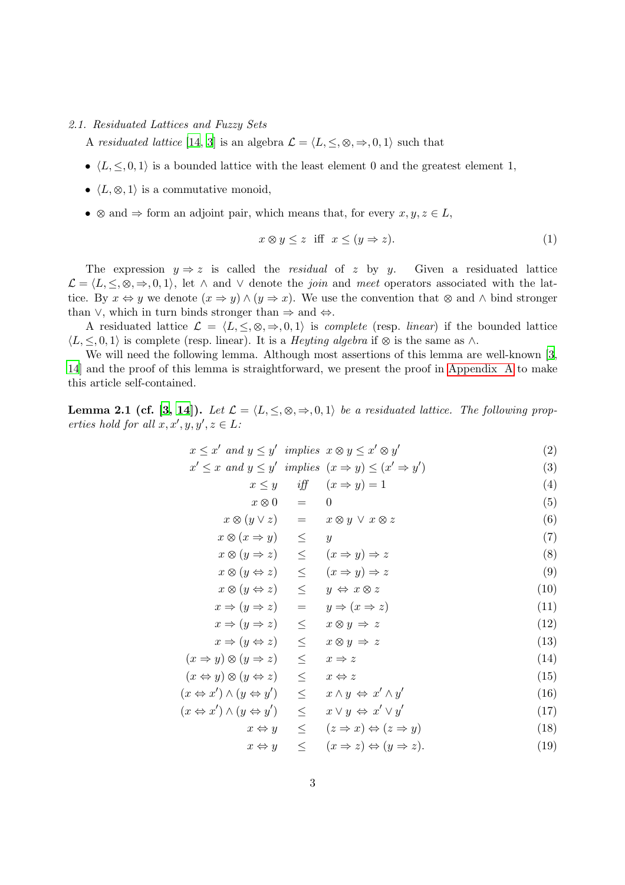# 2.1. Residuated Lattices and Fuzzy Sets

A residuated lattice [\[14,](#page-18-9) [3\]](#page-17-9) is an algebra  $\mathcal{L} = \langle L, \leq, \otimes, \Rightarrow, 0, 1 \rangle$  such that

- $\langle L, \leq, 0, 1 \rangle$  is a bounded lattice with the least element 0 and the greatest element 1,
- $\langle L, \otimes, 1 \rangle$  is a commutative monoid,
- $\otimes$  and  $\Rightarrow$  form an adjoint pair, which means that, for every  $x, y, z \in L$ ,

<span id="page-2-1"></span>
$$
x \otimes y \le z \quad \text{iff} \quad x \le (y \Rightarrow z). \tag{1}
$$

The expression  $y \Rightarrow z$  is called the *residual* of z by y. Given a residuated lattice  $\mathcal{L} = \langle L, \leq, \otimes, \Rightarrow, 0, 1 \rangle$ , let  $\wedge$  and  $\vee$  denote the *join* and meet operators associated with the lattice. By  $x \Leftrightarrow y$  we denote  $(x \Rightarrow y) \wedge (y \Rightarrow x)$ . We use the convention that  $\otimes$  and  $\wedge$  bind stronger than  $\vee$ , which in turn binds stronger than  $\Rightarrow$  and  $\Leftrightarrow$ .

A residuated lattice  $\mathcal{L} = \langle L, \leq, \otimes, \Rightarrow, 0, 1 \rangle$  is *complete* (resp. *linear*) if the bounded lattice  $\langle L, \leq, 0, 1 \rangle$  is complete (resp. linear). It is a *Heyting algebra* if  $\otimes$  is the same as  $\wedge$ .

<span id="page-2-2"></span>We will need the following lemma. Although most assertions of this lemma are well-known [\[3,](#page-17-9) [14](#page-18-9)] and the proof of this lemma is straightforward, we present the proof in [Appendix A](#page-18-10) to make this article self-contained.

**Lemma 2.1 (cf. [\[3,](#page-17-9) [14](#page-18-9)]).** Let  $\mathcal{L} = \langle L, \leq, \otimes, \Rightarrow, 0, 1 \rangle$  be a residuated lattice. The following properties hold for all  $x, x', y, y', z \in L$ :

<span id="page-2-0"></span>
$$
x \le x' \text{ and } y \le y' \text{ implies } x \otimes y \le x' \otimes y' \tag{2}
$$

$$
x' \le x \text{ and } y \le y' \text{ implies } (x \Rightarrow y) \le (x' \Rightarrow y')
$$
 (3)

$$
x \le y \quad \text{iff} \quad (x \Rightarrow y) = 1 \tag{4}
$$

$$
x \otimes 0 = 0
$$
\n
$$
x \otimes (u \vee z) = x \otimes u \vee x \otimes z \tag{6}
$$

$$
x \otimes (y \vee z) = x \otimes y \vee x \otimes z \tag{0}
$$
  

$$
x \otimes (x \Rightarrow u) \leq u \tag{7}
$$

$$
x \otimes (x \Rightarrow y) \leq y
$$
  
\n
$$
x \otimes (y \Rightarrow z) \leq (x \Rightarrow y) \Rightarrow z
$$
  
\n
$$
x \otimes (u \Leftrightarrow z) \leq (x \Rightarrow u) \Rightarrow z
$$
  
\n(9)

$$
x \otimes (y \Leftrightarrow z) \leq (x \Rightarrow y) \Rightarrow z \tag{9}
$$
  

$$
x \otimes (y \Leftrightarrow z) \leq y \Leftrightarrow x \otimes z \tag{10}
$$

$$
x \Rightarrow (y \Rightarrow z) = y \Rightarrow (x \Rightarrow z)
$$
 (11)

$$
x \Rightarrow (y \Rightarrow z) \leq x \otimes y \Rightarrow z \tag{12}
$$
  
\n
$$
x \Rightarrow (u \Leftrightarrow z) \leq x \otimes u \Rightarrow z \tag{13}
$$

$$
(x \Rightarrow y) \otimes (y \Rightarrow z) \leq x \Rightarrow z \tag{14}
$$

$$
(x \Leftrightarrow y) \otimes (y \Leftrightarrow z) \leq x \Leftrightarrow z \tag{15}
$$

$$
(x \Leftrightarrow x') \wedge (y \Leftrightarrow y') \le x \wedge y \Leftrightarrow x' \wedge y'
$$
\n
$$
(x \Leftrightarrow x') \wedge (y \Leftrightarrow y') \le x \vee y \Leftrightarrow x' \vee y'
$$
\n
$$
(16)
$$
\n
$$
(17)
$$

$$
x \Leftrightarrow y \quad \leq \quad x \lor y \leftrightarrow x \lor y \tag{11}
$$
\n
$$
x \Leftrightarrow y \quad \leq \quad (z \Rightarrow x) \Leftrightarrow (z \Rightarrow y) \tag{18}
$$

$$
x \Leftrightarrow y \quad \le \quad (x \Rightarrow z) \Leftrightarrow (y \Rightarrow z). \tag{19}
$$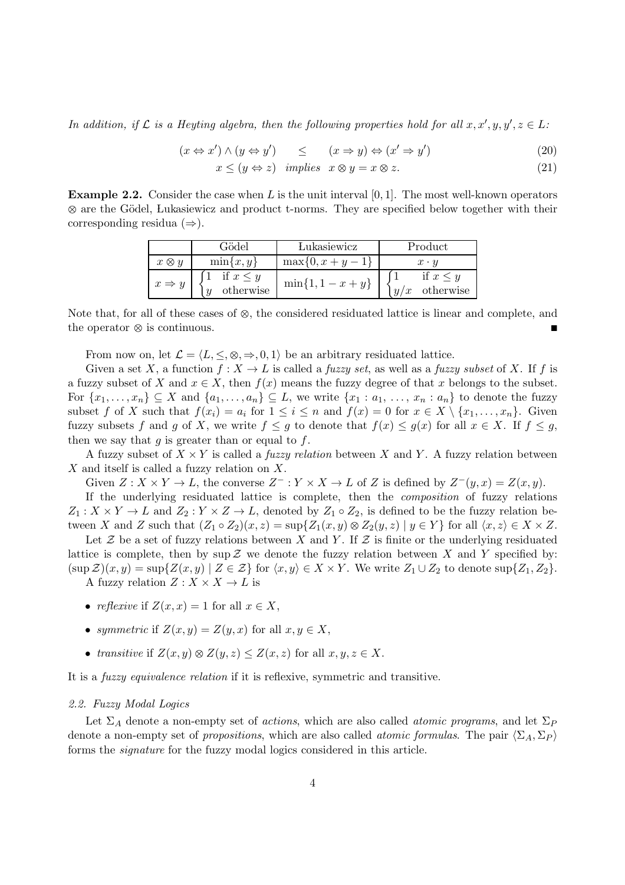In addition, if  $\mathcal L$  is a Heyting algebra, then the following properties hold for all  $x, x', y, y', z \in L$ :

<span id="page-3-0"></span>
$$
(x \Leftrightarrow x') \land (y \Leftrightarrow y') \quad \le \quad (x \Rightarrow y) \Leftrightarrow (x' \Rightarrow y') \tag{20}
$$

$$
x \le (y \Leftrightarrow z) \quad implies \quad x \otimes y = x \otimes z. \tag{21}
$$

**Example 2.2.** Consider the case when L is the unit interval  $[0, 1]$ . The most well-known operators  $\otimes$  are the Gödel, Lukasiewicz and product t-norms. They are specified below together with their corresponding residua  $(\Rightarrow)$ .

|                   | Gödel                      | Lukasiewicz            | Product                           |  |
|-------------------|----------------------------|------------------------|-----------------------------------|--|
| $x \otimes y$     | $\min\{x,y\}$              | $\max\{0, x+y-1\}$     | $x \cdot y$                       |  |
| $x \Rightarrow y$ | if $x \leq y$<br>otherwise | $\min\{1, 1 - x + y\}$ | if $x \leq y$<br>otherwise<br>y/x |  |

Note that, for all of these cases of  $\otimes$ , the considered residuated lattice is linear and complete, and the operator  $\otimes$  is continuous.

From now on, let  $\mathcal{L} = \langle L, \leq, \otimes, \Rightarrow, 0, 1 \rangle$  be an arbitrary residuated lattice.

Given a set X, a function  $f: X \to L$  is called a *fuzzy set*, as well as a *fuzzy subset* of X. If f is a fuzzy subset of X and  $x \in X$ , then  $f(x)$  means the fuzzy degree of that x belongs to the subset. For  $\{x_1, \ldots, x_n\} \subseteq X$  and  $\{a_1, \ldots, a_n\} \subseteq L$ , we write  $\{x_1 : a_1, \ldots, x_n : a_n\}$  to denote the fuzzy subset f of X such that  $f(x_i) = a_i$  for  $1 \leq i \leq n$  and  $f(x) = 0$  for  $x \in X \setminus \{x_1, \ldots, x_n\}$ . Given fuzzy subsets f and g of X, we write  $f \leq g$  to denote that  $f(x) \leq g(x)$  for all  $x \in X$ . If  $f \leq g$ , then we say that  $g$  is greater than or equal to  $f$ .

A fuzzy subset of  $X \times Y$  is called a *fuzzy relation* between X and Y. A fuzzy relation between X and itself is called a fuzzy relation on X.

Given  $Z: X \times Y \to L$ , the converse  $Z^-: Y \times X \to L$  of Z is defined by  $Z^-(y, x) = Z(x, y)$ .

If the underlying residuated lattice is complete, then the composition of fuzzy relations  $Z_1: X \times Y \to L$  and  $Z_2: Y \times Z \to L$ , denoted by  $Z_1 \circ Z_2$ , is defined to be the fuzzy relation between X and Z such that  $(Z_1 \circ Z_2)(x, z) = \sup\{Z_1(x, y) \otimes Z_2(y, z) \mid y \in Y\}$  for all  $\langle x, z \rangle \in X \times Z$ .

Let  $\mathcal Z$  be a set of fuzzy relations between X and Y. If  $\mathcal Z$  is finite or the underlying residuated lattice is complete, then by sup  $\mathcal Z$  we denote the fuzzy relation between X and Y specified by:  $(\sup \mathcal{Z}(x, y) = \sup \{Z(x, y) \mid Z \in \mathcal{Z}\}$  for  $\langle x, y \rangle \in X \times Y$ . We write  $Z_1 \cup Z_2$  to denote  $\sup \{Z_1, Z_2\}.$ A fuzzy relation  $Z: X \times X \to L$  is

- reflexive if  $Z(x, x) = 1$  for all  $x \in X$ ,
- symmetric if  $Z(x, y) = Z(y, x)$  for all  $x, y \in X$ ,
- transitive if  $Z(x, y) \otimes Z(y, z) \leq Z(x, z)$  for all  $x, y, z \in X$ .

It is a fuzzy equivalence relation if it is reflexive, symmetric and transitive.

#### 2.2. Fuzzy Modal Logics

Let  $\Sigma_A$  denote a non-empty set of actions, which are also called atomic programs, and let  $\Sigma_P$ denote a non-empty set of propositions, which are also called *atomic formulas*. The pair  $\langle \Sigma_A, \Sigma_P \rangle$ forms the signature for the fuzzy modal logics considered in this article.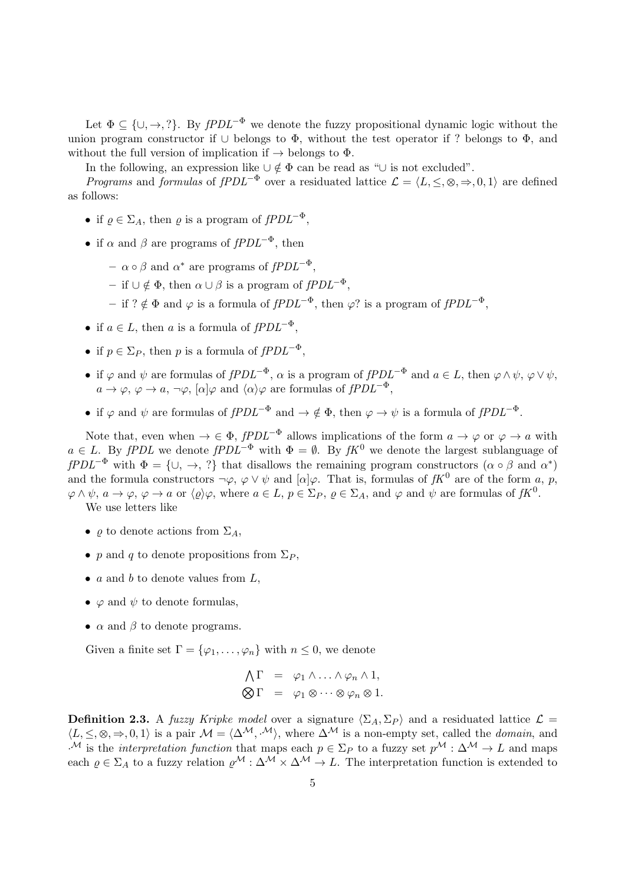Let  $\Phi \subseteq {\cup, \rightarrow, ?}$ . By  $fPDL^{-\Phi}$  we denote the fuzzy propositional dynamic logic without the union program constructor if  $\cup$  belongs to  $\Phi$ , without the test operator if ? belongs to  $\Phi$ , and without the full version of implication if  $\rightarrow$  belongs to  $\Phi$ .

In the following, an expression like  $\cup \notin \Phi$  can be read as "∪ is not excluded".

*Programs* and *formulas* of  $fPDL^{-\Phi}$  over a residuated lattice  $\mathcal{L} = \langle L, \leq, \otimes, \Rightarrow, 0, 1 \rangle$  are defined as follows:

- if  $\rho \in \Sigma_A$ , then  $\rho$  is a program of  $fPDL^{-\Phi}$ ,
- if  $\alpha$  and  $\beta$  are programs of  $fPDL^{-\Phi}$ , then
	- $\alpha \circ \beta$  and  $\alpha^*$  are programs of  $fPDL^{-\Phi}$ ,
	- if ∪ ∉ Φ, then  $\alpha$  ∪ β is a program of  $fPDL^{-\Phi}$ ,
	- if ? ∉ Φ and  $\varphi$  is a formula of  $fPDL^{-\Phi}$ , then  $\varphi$ ? is a program of  $fPDL^{-\Phi}$ ,
- if  $a \in L$ , then a is a formula of  $fPDL^{-\Phi}$ .
- if  $p \in \Sigma_P$ , then p is a formula of  $fPDL^{-\Phi}$ ,
- if  $\varphi$  and  $\psi$  are formulas of  $fPDL^{-\Phi}$ ,  $\alpha$  is a program of  $fPDL^{-\Phi}$  and  $a \in L$ , then  $\varphi \wedge \psi$ ,  $\varphi \vee \psi$ ,  $a \to \varphi, \varphi \to a, \neg \varphi, [\alpha] \varphi$  and  $\langle \alpha \rangle \varphi$  are formulas of  $fPDL^{-\Phi}$ .
- if  $\varphi$  and  $\psi$  are formulas of  $fPDL^{-\Phi}$  and  $\rightarrow \notin \Phi$ , then  $\varphi \rightarrow \psi$  is a formula of  $fPDL^{-\Phi}$ .

Note that, even when  $\rightarrow \in \Phi$ ,  $fPDL^{-\Phi}$  allows implications of the form  $a \rightarrow \varphi$  or  $\varphi \rightarrow a$  with  $a \in L$ . By fPDL we denote fPDL<sup>- $\Phi$ </sup> with  $\Phi = \emptyset$ . By fK<sup>0</sup> we denote the largest sublanguage of  $fPDL^{-\Phi}$  with  $\Phi = {\cup, \rightarrow, ?}$  that disallows the remaining program constructors  $(\alpha \circ \beta \text{ and } \alpha^*)$ and the formula constructors  $\neg \varphi, \varphi \lor \psi$  and  $[\alpha] \varphi$ . That is, formulas of  $fK^0$  are of the form a, p,  $\varphi \wedge \psi$ ,  $a \to \varphi$ ,  $\varphi \to a$  or  $\langle \varrho \rangle \varphi$ , where  $a \in L$ ,  $p \in \Sigma_P$ ,  $\varrho \in \Sigma_A$ , and  $\varphi$  and  $\psi$  are formulas of  $fK^0$ .

We use letters like

- $\rho$  to denote actions from  $\Sigma_A$ ,
- p and q to denote propositions from  $\Sigma_P$ ,
- $a$  and  $b$  to denote values from  $L$ ,
- $\varphi$  and  $\psi$  to denote formulas,
- $\alpha$  and  $\beta$  to denote programs.

Given a finite set  $\Gamma = {\varphi_1, \ldots, \varphi_n}$  with  $n \leq 0$ , we denote

$$
\begin{array}{rcl}\n\bigwedge \Gamma & = & \varphi_1 \wedge \ldots \wedge \varphi_n \wedge 1, \\
\bigotimes \Gamma & = & \varphi_1 \otimes \cdots \otimes \varphi_n \otimes 1.\n\end{array}
$$

<span id="page-4-0"></span>**Definition 2.3.** A fuzzy Kripke model over a signature  $\langle \Sigma_A, \Sigma_P \rangle$  and a residuated lattice  $\mathcal{L} =$  $\langle L, \leq, \otimes, \Rightarrow, 0, 1 \rangle$  is a pair  $\mathcal{M} = \langle \Delta^{\mathcal{M}}, \cdot^{\mathcal{M}} \rangle$ , where  $\Delta^{\mathcal{M}}$  is a non-empty set, called the *domain*, and <sup>M</sup> is the interpretation function that maps each  $p \in \Sigma_P$  to a fuzzy set  $p^{\mathcal{M}} : \Delta^{\mathcal{M}} \to L$  and maps each  $\rho \in \Sigma_A$  to a fuzzy relation  $\rho^{\mathcal{M}} : \Delta^{\mathcal{M}} \times \Delta^{\mathcal{M}} \to L$ . The interpretation function is extended to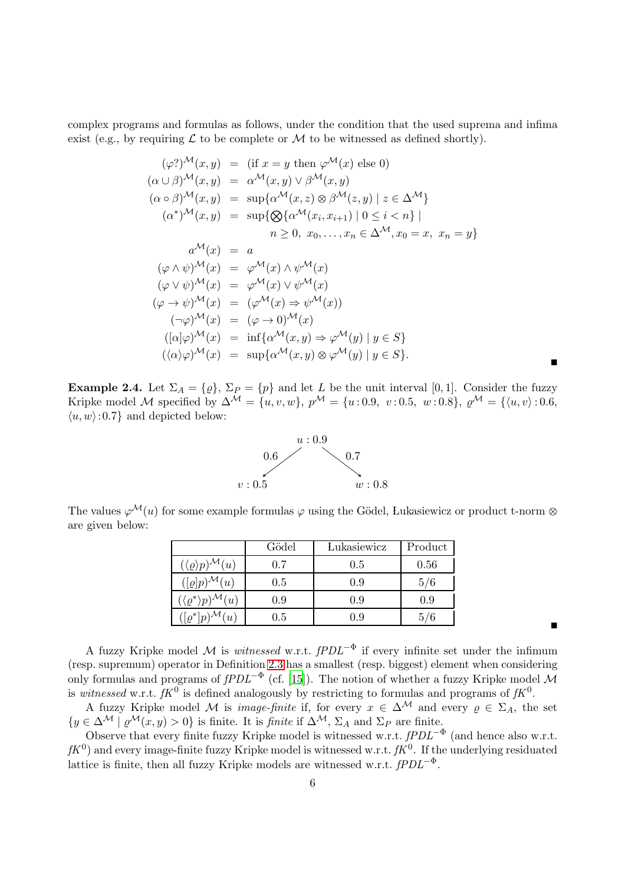complex programs and formulas as follows, under the condition that the used suprema and infima exist (e.g., by requiring  $\mathcal L$  to be complete or  $\mathcal M$  to be witnessed as defined shortly).

$$
(\varphi)^{\mathcal{M}}(x, y) = (\text{if } x = y \text{ then } \varphi^{\mathcal{M}}(x) \text{ else } 0)
$$
  
\n
$$
(\alpha \cup \beta)^{\mathcal{M}}(x, y) = \alpha^{\mathcal{M}}(x, y) \vee \beta^{\mathcal{M}}(x, y)
$$
  
\n
$$
(\alpha \circ \beta)^{\mathcal{M}}(x, y) = \sup \{\alpha^{\mathcal{M}}(x, z) \otimes \beta^{\mathcal{M}}(z, y) \mid z \in \Delta^{\mathcal{M}}\}
$$
  
\n
$$
(\alpha^*)^{\mathcal{M}}(x, y) = \sup \{\bigotimes \{\alpha^{\mathcal{M}}(x_i, x_{i+1}) \mid 0 \le i < n\} \mid n \ge 0, x_0, \dots, x_n \in \Delta^{\mathcal{M}}, x_0 = x, x_n = y\}
$$
  
\n
$$
\alpha^{\mathcal{M}}(x) = a
$$
  
\n
$$
(\varphi \wedge \psi)^{\mathcal{M}}(x) = \varphi^{\mathcal{M}}(x) \wedge \psi^{\mathcal{M}}(x)
$$
  
\n
$$
(\varphi \vee \psi)^{\mathcal{M}}(x) = (\varphi^{\mathcal{M}}(x) \vee \psi^{\mathcal{M}}(x))
$$
  
\n
$$
(\varphi \rightarrow \psi)^{\mathcal{M}}(x) = (\varphi^{\mathcal{M}}(x) \Rightarrow \psi^{\mathcal{M}}(x))
$$
  
\n
$$
(\neg \varphi)^{\mathcal{M}}(x) = (\varphi \rightarrow 0)^{\mathcal{M}}(x)
$$
  
\n
$$
((\alpha)\varphi)^{\mathcal{M}}(x) = \inf \{\alpha^{\mathcal{M}}(x, y) \Rightarrow \varphi^{\mathcal{M}}(y) \mid y \in S\}
$$
  
\n
$$
((\alpha)\varphi)^{\mathcal{M}}(x) = \sup \{\alpha^{\mathcal{M}}(x, y) \otimes \varphi^{\mathcal{M}}(y) \mid y \in S\}.
$$

Ë

 $\blacksquare$ 

**Example 2.4.** Let  $\Sigma_A = \{\varrho\}, \Sigma_P = \{p\}$  and let L be the unit interval [0, 1]. Consider the fuzzy Kripke model M specified by  $\Delta^{\mathcal{M}} = \{u, v, w\}$ ,  $p^{\mathcal{M}} = \{u : 0.9, v : 0.5, w : 0.8\}$ ,  $\varrho^{\mathcal{M}} = \{\langle u, v \rangle : 0.6, w : 0.8\}$  $\langle u, w \rangle$ : 0.7} and depicted below:



The values  $\varphi^{\mathcal{M}}(u)$  for some example formulas  $\varphi$  using the Gödel, Lukasiewicz or product t-norm  $\otimes$ are given below:

|                                                  | Gödel   | Lukasiewicz | Product |
|--------------------------------------------------|---------|-------------|---------|
| $({\langle \varrho \rangle} p)^{\mathcal{M}}(u)$ | 0.7     | 0.5         | 0.56    |
| $([\varrho]p)^{\mathcal{M}}(u)$                  | $0.5\,$ | 0.9         | 5/6     |
| $(\langle \varrho^* \rangle p)^{\mathcal{M}}(u)$ | 0.9     | 0.9         | 0.9     |
| $\sqrt{(\rho^* p)^{\mathcal{M}}(u)}$             | 0.5     | 0.9         | 5/6     |

A fuzzy Kripke model M is *witnessed* w.r.t.  $fPDL^{-\Phi}$  if every infinite set under the infimum (resp. supremum) operator in Definition [2.3](#page-4-0) has a smallest (resp. biggest) element when considering only formulas and programs of  $fPDL^{-\Phi}$  (cf. [\[15](#page-18-11)]). The notion of whether a fuzzy Kripke model M is witnessed w.r.t.  $fK^0$  is defined analogously by restricting to formulas and programs of  $fK^0$ .

A fuzzy Kripke model M is *image-finite* if, for every  $x \in \Delta^{\mathcal{M}}$  and every  $\rho \in \Sigma_A$ , the set  ${y \in \Delta^{\mathcal{M}} \mid \varrho^{\mathcal{M}}(x, y) > 0}$  is finite. It is *finite* if  $\Delta^{\mathcal{M}}$ ,  $\Sigma_A$  and  $\Sigma_P$  are finite.

Observe that every finite fuzzy Kripke model is witnessed w.r.t.  $fPDL^{-\Phi}$  (and hence also w.r.t.  $fK^0$ ) and every image-finite fuzzy Kripke model is witnessed w.r.t.  $fK^0$ . If the underlying residuated lattice is finite, then all fuzzy Kripke models are witnessed w.r.t.  $fPDL^{-\Phi}$ .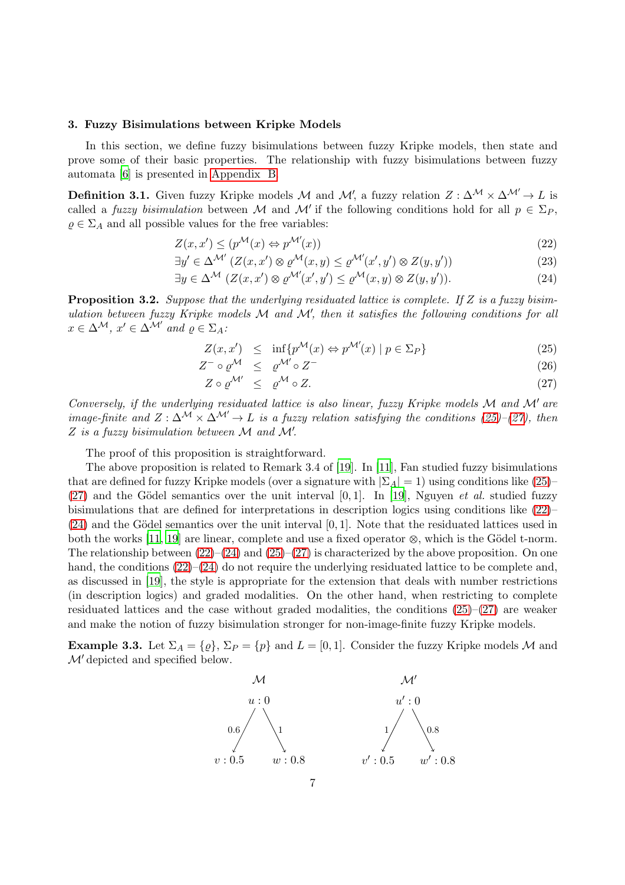# <span id="page-6-0"></span>3. Fuzzy Bisimulations between Kripke Models

In this section, we define fuzzy bisimulations between fuzzy Kripke models, then state and prove some of their basic properties. The relationship with fuzzy bisimulations between fuzzy automata [\[6](#page-17-6)] is presented in [Appendix B.](#page-20-0)

<span id="page-6-3"></span>**Definition 3.1.** Given fuzzy Kripke models M and M', a fuzzy relation  $Z : \Delta^{\mathcal{M}} \times \Delta^{\mathcal{M}'} \to L$  is called a *fuzzy bisimulation* between M and M' if the following conditions hold for all  $p \in \Sigma_P$ ,  $\rho \in \Sigma_A$  and all possible values for the free variables:

<span id="page-6-2"></span>
$$
Z(x, x') \le (p^{\mathcal{M}}(x) \Leftrightarrow p^{\mathcal{M}'}(x))
$$
\n<sup>(22)</sup>

$$
\exists y' \in \Delta^{\mathcal{M}'} \left( Z(x, x') \otimes \varrho^{\mathcal{M}}(x, y) \le \varrho^{\mathcal{M}'}(x', y') \otimes Z(y, y') \right) \tag{23}
$$

$$
\exists y \in \Delta^{\mathcal{M}} \ (Z(x, x') \otimes \varrho^{\mathcal{M}'}(x', y') \le \varrho^{\mathcal{M}}(x, y) \otimes Z(y, y')). \tag{24}
$$

<span id="page-6-4"></span>**Proposition 3.2.** Suppose that the underlying residuated lattice is complete. If Z is a fuzzy bisimulation between fuzzy Kripke models  $M$  and  $M'$ , then it satisfies the following conditions for all  $x \in \Delta^{\mathcal{M}}, x' \in \Delta^{\mathcal{M}'}$  and  $\rho \in \Sigma_A$ :

<span id="page-6-1"></span>
$$
Z(x, x') \le \inf \{ p^{\mathcal{M}}(x) \Leftrightarrow p^{\mathcal{M}'}(x) \mid p \in \Sigma_P \} \tag{25}
$$

$$
Z^{-} \circ \varrho^{\mathcal{M}} \leq \varrho^{\mathcal{M}'} \circ Z^{-}
$$
  
\n
$$
Z \circ \varrho^{\mathcal{M}'} \leq \varrho^{\mathcal{M}} \circ Z.
$$
\n(26)

Conversely, if the underlying residuated lattice is also linear, fuzzy Kripke models M and M′ are image-finite and  $Z : \Delta^{\mathcal{M}} \times \Delta^{\mathcal{M}'} \to L$  is a fuzzy relation satisfying the conditions [\(25\)](#page-6-1)–[\(27\)](#page-6-1), then  $Z$  is a fuzzy bisimulation between  $M$  and  $M'$ .

The proof of this proposition is straightforward.

The above proposition is related to Remark 3.4 of [\[19\]](#page-18-5). In [\[11\]](#page-18-4), Fan studied fuzzy bisimulations that are defined for fuzzy Kripke models (over a signature with  $|\Sigma_A| = 1$ ) using conditions like [\(25\)](#page-6-1)–  $(27)$  and the Gödel semantics over the unit interval  $[0, 1]$ . In [\[19\]](#page-18-5), Nguyen *et al.* studied fuzzy bisimulations that are defined for interpretations in description logics using conditions like [\(22\)](#page-6-2)–  $(24)$  and the Gödel semantics over the unit interval [0, 1]. Note that the residuated lattices used in both the works [\[11,](#page-18-4) [19\]](#page-18-5) are linear, complete and use a fixed operator  $\otimes$ , which is the Gödel t-norm. The relationship between  $(22)$ – $(24)$  and  $(25)$ – $(27)$  is characterized by the above proposition. On one hand, the conditions  $(22)$ – $(24)$  do not require the underlying residuated lattice to be complete and, as discussed in [\[19](#page-18-5)], the style is appropriate for the extension that deals with number restrictions (in description logics) and graded modalities. On the other hand, when restricting to complete residuated lattices and the case without graded modalities, the conditions  $(25)-(27)$  $(25)-(27)$  are weaker and make the notion of fuzzy bisimulation stronger for non-image-finite fuzzy Kripke models.

**Example 3.3.** Let  $\Sigma_A = \{\varrho\}$ ,  $\Sigma_P = \{p\}$  and  $L = [0, 1]$ . Consider the fuzzy Kripke models M and M′ depicted and specified below.

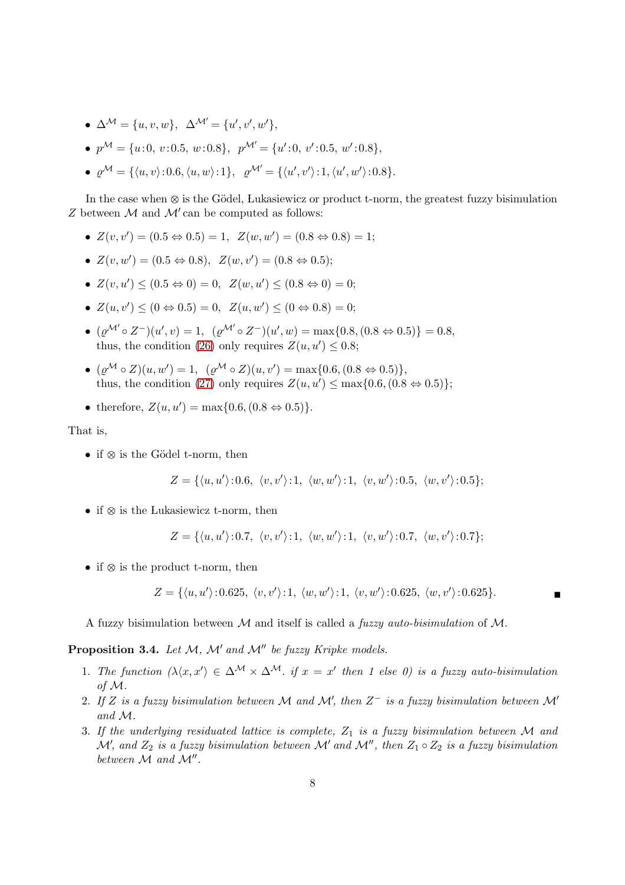- $\Delta^{\mathcal{M}} = \{u, v, w\}, \ \ \Delta^{\mathcal{M}'} = \{u', v', w'\},\$
- $p^{\mathcal{M}} = \{u:0, v:0.5, w:0.8\}, p^{\mathcal{M}'} = \{u':0, v':0.5, w':0.8\},\}$
- $\varrho^{\mathcal{M}} = \{ \langle u, v \rangle : 0.6, \langle u, w \rangle : 1 \}, \quad \varrho^{\mathcal{M}'} = \{ \langle u', v' \rangle : 1, \langle u', w' \rangle : 0.8 \}.$

In the case when  $\otimes$  is the Gödel, Lukasiewicz or product t-norm, the greatest fuzzy bisimulation Z between  $M$  and  $M'$  can be computed as follows:

- $Z(v, v') = (0.5 \Leftrightarrow 0.5) = 1, \ Z(w, w') = (0.8 \Leftrightarrow 0.8) = 1;$
- $Z(v, w') = (0.5 \Leftrightarrow 0.8), Z(w, v') = (0.8 \Leftrightarrow 0.5);$
- $Z(v, u') \le (0.5 \Leftrightarrow 0) = 0, \ Z(w, u') \le (0.8 \Leftrightarrow 0) = 0;$
- $Z(u, v') \le (0 \Leftrightarrow 0.5) = 0, \ Z(u, w') \le (0 \Leftrightarrow 0.8) = 0;$
- $(\varrho^{\mathcal{M}'} \circ Z^-)(u', v) = 1$ ,  $(\varrho^{\mathcal{M}'} \circ Z^-)(u', w) = \max\{0.8, (0.8 \Leftrightarrow 0.5)\} = 0.8$ , thus, the condition [\(26\)](#page-6-1) only requires  $Z(u, u') \leq 0.8$ ;
- $(\varrho^{\mathcal{M}} \circ Z)(u, w') = 1$ ,  $(\varrho^{\mathcal{M}} \circ Z)(u, v') = \max\{0.6, (0.8 \Leftrightarrow 0.5)\},$ thus, the condition [\(27\)](#page-6-1) only requires  $Z(u, u') \leq \max\{0.6, (0.8 \Leftrightarrow 0.5)\};$
- therefore,  $Z(u, u') = \max\{0.6, (0.8 \Leftrightarrow 0.5)\}.$

That is,

• if  $\otimes$  is the Gödel t-norm, then

$$
Z = \{ \langle u, u' \rangle : 0.6, \langle v, v' \rangle : 1, \langle w, w' \rangle : 1, \langle v, w' \rangle : 0.5, \langle w, v' \rangle : 0.5 \};
$$

• if  $\otimes$  is the Lukasiewicz t-norm, then

$$
Z = \{ \langle u, u' \rangle : 0.7, \langle v, v' \rangle : 1, \langle w, w' \rangle : 1, \langle v, w' \rangle : 0.7, \langle w, v' \rangle : 0.7 \};
$$

• if  $\otimes$  is the product t-norm, then

$$
Z = \{ \langle u, u' \rangle : 0.625, \langle v, v' \rangle : 1, \langle w, w' \rangle : 1, \langle v, w' \rangle : 0.625, \langle w, v' \rangle : 0.625 \}.
$$

<span id="page-7-1"></span>A fuzzy bisimulation between M and itself is called a *fuzzy auto-bisimulation* of M.

<span id="page-7-0"></span>**Proposition 3.4.** Let  $M$ ,  $M'$  and  $M''$  be fuzzy Kripke models.

- 1. The function  $\langle \lambda \langle x, x' \rangle \in \Delta^{\mathcal{M}} \times \Delta^{\mathcal{M}}$ . if  $x = x'$  then 1 else 0) is a fuzzy auto-bisimulation of M.
- <span id="page-7-2"></span>2. If Z is a fuzzy bisimulation between M and M', then  $Z^-$  is a fuzzy bisimulation between M' and M.
- <span id="page-7-3"></span>3. If the underlying residuated lattice is complete,  $Z_1$  is a fuzzy bisimulation between M and  $\mathcal{M}'$ , and  $Z_2$  is a fuzzy bisimulation between  $\mathcal{M}'$  and  $\mathcal{M}''$ , then  $Z_1 \circ Z_2$  is a fuzzy bisimulation between  $M$  and  $M''$ .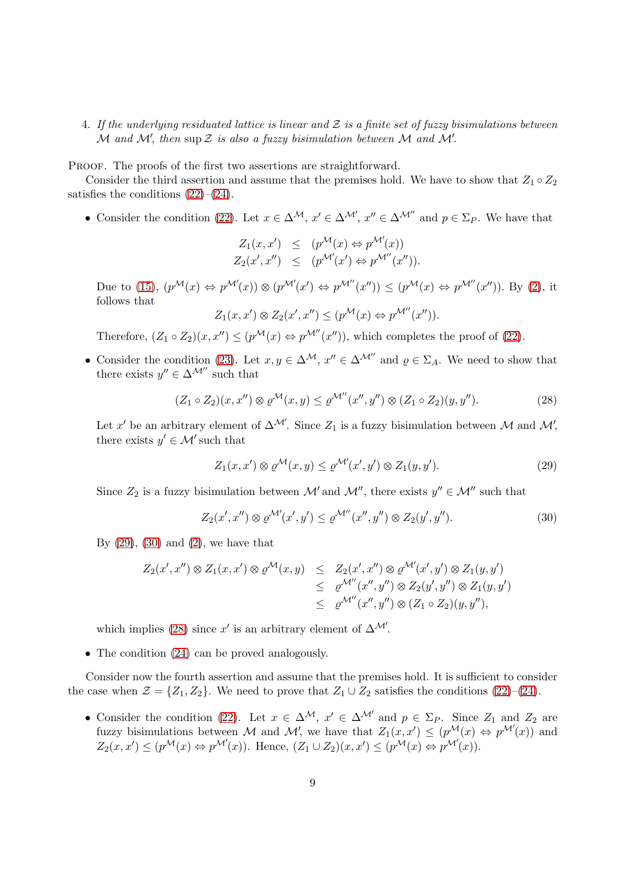# 4. If the underlying residuated lattice is linear and  $\mathcal Z$  is a finite set of fuzzy bisimulations between  $\overline{\mathcal{M}}$  and  $\mathcal{M}'$ , then sup  $\mathcal Z$  is also a fuzzy bisimulation between  $\mathcal M$  and  $\mathcal M'$ .

PROOF. The proofs of the first two assertions are straightforward.

Consider the third assertion and assume that the premises hold. We have to show that  $Z_1 \circ Z_2$ satisfies the conditions  $(22)$ – $(24)$ .

• Consider the condition [\(22\)](#page-6-2). Let  $x \in \Delta^{\mathcal{M}}, x' \in \Delta^{\mathcal{M}'}, x'' \in \Delta^{\mathcal{M}''}$  and  $p \in \Sigma_P$ . We have that

$$
Z_1(x, x') \le (p^{\mathcal{M}}(x) \Leftrightarrow p^{\mathcal{M}'}(x))
$$
  

$$
Z_2(x', x'') \le (p^{\mathcal{M}'}(x') \Leftrightarrow p^{\mathcal{M}''}(x'')).
$$

Due to [\(15\)](#page-2-0),  $(p^{\mathcal{M}}(x) \Leftrightarrow p^{\mathcal{M}'}(x)) \otimes (p^{\mathcal{M}'}(x') \Leftrightarrow p^{\mathcal{M}''}(x'')) \leq (p^{\mathcal{M}}(x) \Leftrightarrow p^{\mathcal{M}''}(x''))$ . By [\(2\)](#page-2-0), it follows that

$$
Z_1(x, x') \otimes Z_2(x', x'') \le (p^{\mathcal{M}}(x) \Leftrightarrow p^{\mathcal{M}''}(x'')).
$$

Therefore,  $(Z_1 \circ Z_2)(x, x'') \leq (p^{\mathcal{M}}(x) \Leftrightarrow p^{\mathcal{M}''}(x''))$ , which completes the proof of [\(22\)](#page-6-2).

• Consider the condition [\(23\)](#page-6-2). Let  $x, y \in \Delta^{\mathcal{M}}, x'' \in \Delta^{\mathcal{M}''}$  and  $\varrho \in \Sigma_A$ . We need to show that there exists  $y'' \in \Delta^{\mathcal{M}''}$  such that

<span id="page-8-2"></span>
$$
(Z_1 \circ Z_2)(x, x'') \otimes \varrho^{\mathcal{M}}(x, y) \leq \varrho^{\mathcal{M}''}(x'', y'') \otimes (Z_1 \circ Z_2)(y, y''). \tag{28}
$$

Let x' be an arbitrary element of  $\Delta^{\mathcal{M}}$ . Since  $Z_1$  is a fuzzy bisimulation between M and M', there exists  $y' \in \mathcal{M}'$  such that

<span id="page-8-0"></span>
$$
Z_1(x, x') \otimes \varrho^{\mathcal{M}}(x, y) \le \varrho^{\mathcal{M}'}(x', y') \otimes Z_1(y, y'). \tag{29}
$$

Since  $Z_2$  is a fuzzy bisimulation between  $\mathcal{M}'$  and  $\mathcal{M}''$ , there exists  $y'' \in \mathcal{M}''$  such that

<span id="page-8-1"></span>
$$
Z_2(x',x'') \otimes \varrho^{\mathcal{M}'}(x',y') \leq \varrho^{\mathcal{M}''}(x'',y'') \otimes Z_2(y',y''). \tag{30}
$$

By  $(29)$ ,  $(30)$  and  $(2)$ , we have that

$$
Z_2(x',x'') \otimes Z_1(x,x') \otimes \varrho^{\mathcal{M}}(x,y) \leq Z_2(x',x'') \otimes \varrho^{\mathcal{M}'}(x',y') \otimes Z_1(y,y')
$$
  
\n
$$
\leq \varrho^{\mathcal{M}''}(x'',y'') \otimes Z_2(y',y'') \otimes Z_1(y,y')
$$
  
\n
$$
\leq \varrho^{\mathcal{M}''}(x'',y'') \otimes (Z_1 \circ Z_2)(y,y'')
$$
,

which implies [\(28\)](#page-8-2) since x' is an arbitrary element of  $\Delta^{\mathcal{M}}$ .

• The condition  $(24)$  can be proved analogously.

Consider now the fourth assertion and assume that the premises hold. It is sufficient to consider the case when  $\mathcal{Z} = \{Z_1, Z_2\}$ . We need to prove that  $Z_1 \cup Z_2$  satisfies the conditions [\(22\)](#page-6-2)–[\(24\)](#page-6-2).

• Consider the condition [\(22\)](#page-6-2). Let  $x \in \Delta^{\mathcal{M}}$ ,  $x' \in \Delta^{\mathcal{M}'}$  and  $p \in \Sigma_P$ . Since  $Z_1$  and  $Z_2$  are fuzzy bisimulations between M and M', we have that  $Z_1(x, x') \leq (p^{\mathcal{M}}(x) \Leftrightarrow p^{\mathcal{M}'}(x))$  and  $Z_2(x,x') \leq (p^{\mathcal{M}}(x) \Leftrightarrow p^{\mathcal{M}'}(x))$ . Hence,  $(Z_1 \cup Z_2)(x,x') \leq (p^{\mathcal{M}}(x) \Leftrightarrow p^{\mathcal{M}'}(x))$ .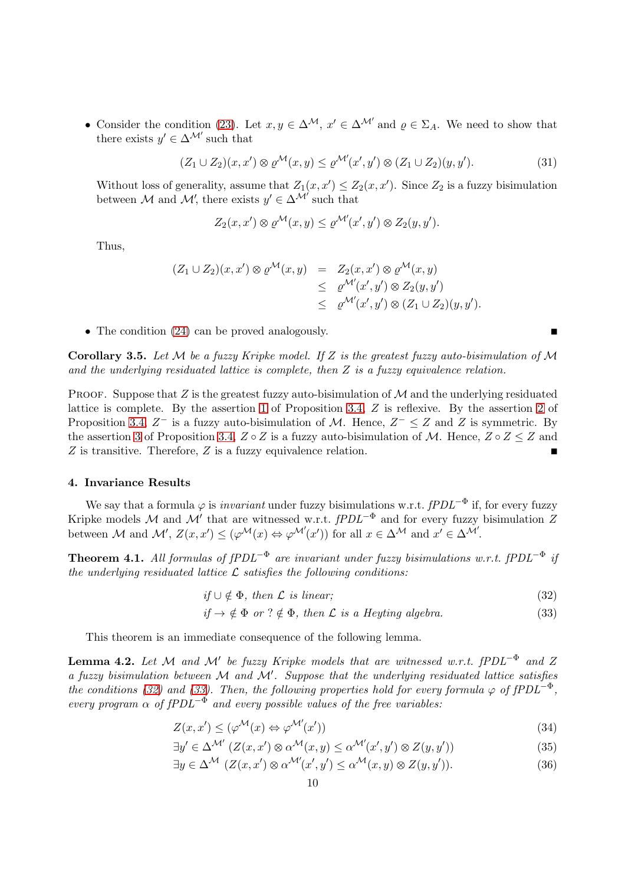• Consider the condition [\(23\)](#page-6-2). Let  $x, y \in \Delta^{\mathcal{M}}$ ,  $x' \in \Delta^{\mathcal{M}'}$  and  $\varrho \in \Sigma_A$ . We need to show that there exists  $y' \in \Delta^{\mathcal{M}'}$  such that

$$
(Z_1 \cup Z_2)(x, x') \otimes \varrho^{\mathcal{M}}(x, y) \le \varrho^{\mathcal{M}'}(x', y') \otimes (Z_1 \cup Z_2)(y, y'). \tag{31}
$$

Without loss of generality, assume that  $Z_1(x, x') \leq Z_2(x, x')$ . Since  $Z_2$  is a fuzzy bisimulation between M and M', there exists  $y' \in \Delta^{\mathcal{M}'}$  such that

$$
Z_2(x, x') \otimes \varrho^{\mathcal{M}}(x, y) \leq \varrho^{\mathcal{M}'}(x', y') \otimes Z_2(y, y').
$$

Thus,

$$
(Z_1 \cup Z_2)(x, x') \otimes \varrho^{\mathcal{M}}(x, y) = Z_2(x, x') \otimes \varrho^{\mathcal{M}}(x, y)
$$
  
\n
$$
\leq \varrho^{\mathcal{M}'}(x', y') \otimes Z_2(y, y')
$$
  
\n
$$
\leq \varrho^{\mathcal{M}'}(x', y') \otimes (Z_1 \cup Z_2)(y, y').
$$

• The condition  $(24)$  can be proved analogously.

<span id="page-9-5"></span>Corollary 3.5. Let  $\mathcal M$  be a fuzzy Kripke model. If Z is the greatest fuzzy auto-bisimulation of  $\mathcal M$ and the underlying residuated lattice is complete, then  $Z$  is a fuzzy equivalence relation.

PROOF. Suppose that Z is the greatest fuzzy auto-bisimulation of  $\mathcal M$  and the underlying residuated lattice is complete. By the assertion [1](#page-7-0) of Proposition [3.4,](#page-7-1) Z is reflexive. By the assertion [2](#page-7-2) of Proposition [3.4,](#page-7-1)  $Z^-$  is a fuzzy auto-bisimulation of M. Hence,  $Z^- \leq Z$  and Z is symmetric. By the assertion [3](#page-7-3) of Proposition [3.4,](#page-7-1)  $Z \circ Z$  is a fuzzy auto-bisimulation of M. Hence,  $Z \circ Z \leq Z$  and Z is transitive. Therefore, Z is a fuzzy equivalence relation.

#### <span id="page-9-0"></span>4. Invariance Results

We say that a formula  $\varphi$  is *invariant* under fuzzy bisimulations w.r.t.  $fPDL^{-\Phi}$  if, for every fuzzy Kripke models M and M' that are witnessed w.r.t.  $fPDL^{-\Phi}$  and for every fuzzy bisimulation Z between M and M',  $Z(x, x') \leq (\varphi^{\mathcal{M}}(x) \Leftrightarrow \varphi^{\mathcal{M}'}(x'))$  for all  $x \in \Delta^{\mathcal{M}}$  and  $x' \in \Delta^{\mathcal{M}'}$ .

<span id="page-9-4"></span>**Theorem 4.1.** All formulas of  $fPDL^{-\Phi}$  are invariant under fuzzy bisimulations w.r.t.  $fPDL^{-\Phi}$  if the underlying residuated lattice  $\mathcal L$  satisfies the following conditions:

<span id="page-9-1"></span>
$$
if \cup \notin \Phi, \text{ then } \mathcal{L} \text{ is linear};\tag{32}
$$

$$
if \to \notin \Phi \text{ or } ? \notin \Phi, \text{ then } \mathcal{L} \text{ is a Heyting algebra.}
$$
 (33)

<span id="page-9-3"></span>This theorem is an immediate consequence of the following lemma.

**Lemma 4.2.** Let M and M' be fuzzy Kripke models that are witnessed w.r.t.  $fPDL^{-\Phi}$  and Z a fuzzy bisimulation between  $\mathcal M$  and  $\mathcal M'$ . Suppose that the underlying residuated lattice satisfies the conditions [\(32\)](#page-9-1) and [\(33\)](#page-9-1). Then, the following properties hold for every formula  $\varphi$  of fPDL<sup>- $\Phi$ </sup>, every program  $\alpha$  of  $fPDL^{-\Phi}$  and every possible values of the free variables:

<span id="page-9-2"></span>
$$
Z(x, x') \le (\varphi^{\mathcal{M}}(x) \Leftrightarrow \varphi^{\mathcal{M}'}(x')) \tag{34}
$$

$$
\exists y' \in \Delta^{\mathcal{M}'} \left( Z(x, x') \otimes \alpha^{\mathcal{M}}(x, y) \leq \alpha^{\mathcal{M}'}(x', y') \otimes Z(y, y') \right) \tag{35}
$$

$$
\exists y \in \Delta^{\mathcal{M}} \ (Z(x, x') \otimes \alpha^{\mathcal{M}'}(x', y') \leq \alpha^{\mathcal{M}}(x, y) \otimes Z(y, y')). \tag{36}
$$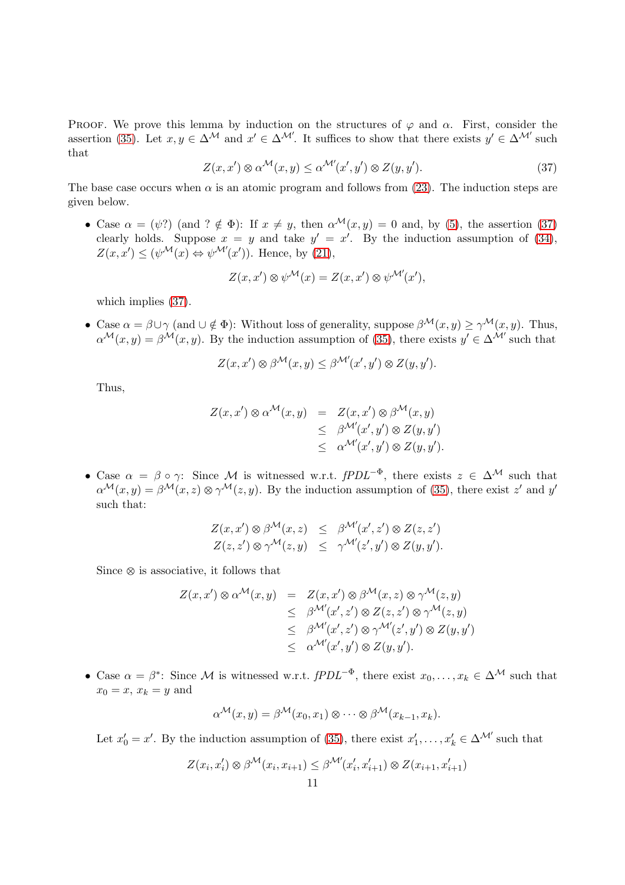PROOF. We prove this lemma by induction on the structures of  $\varphi$  and  $\alpha$ . First, consider the assertion [\(35\)](#page-9-2). Let  $x, y \in \Delta^{\mathcal{M}}$  and  $x' \in \Delta^{\mathcal{M}'}$ . It suffices to show that there exists  $y' \in \Delta^{\mathcal{M}'}$  such that

<span id="page-10-0"></span>
$$
Z(x, x') \otimes \alpha^{\mathcal{M}}(x, y) \leq \alpha^{\mathcal{M}'}(x', y') \otimes Z(y, y'). \tag{37}
$$

The base case occurs when  $\alpha$  is an atomic program and follows from [\(23\)](#page-6-2). The induction steps are given below.

• Case  $\alpha = (\psi)$  (and  $? \notin \Phi$ ): If  $x \neq y$ , then  $\alpha^{\mathcal{M}}(x, y) = 0$  and, by [\(5\)](#page-2-0), the assertion [\(37\)](#page-10-0) clearly holds. Suppose  $x = y$  and take  $y' = x'$ . By the induction assumption of [\(34\)](#page-9-2),  $Z(x, x') \leq (\psi^{\mathcal{M}}(x) \Leftrightarrow \psi^{\mathcal{M}'}(x'))$ . Hence, by [\(21\)](#page-3-0),

$$
Z(x, x') \otimes \psi^{\mathcal{M}}(x) = Z(x, x') \otimes \psi^{\mathcal{M}'}(x'),
$$

which implies [\(37\)](#page-10-0).

• Case  $\alpha = \beta \cup \gamma$  (and  $\cup \notin \Phi$ ): Without loss of generality, suppose  $\beta^{\mathcal{M}}(x, y) \geq \gamma^{\mathcal{M}}(x, y)$ . Thus,  $\alpha^{\mathcal{M}}(x,y) = \beta^{\mathcal{M}}(x,y)$ . By the induction assumption of [\(35\)](#page-9-2), there exists  $y' \in \Delta^{\mathcal{M}'}$  such that

$$
Z(x, x') \otimes \beta^{\mathcal{M}}(x, y) \leq \beta^{\mathcal{M}'}(x', y') \otimes Z(y, y').
$$

Thus,

$$
Z(x, x') \otimes \alpha^{\mathcal{M}}(x, y) = Z(x, x') \otimes \beta^{\mathcal{M}}(x, y)
$$
  
\n
$$
\leq \beta^{\mathcal{M}'}(x', y') \otimes Z(y, y')
$$
  
\n
$$
\leq \alpha^{\mathcal{M}'}(x', y') \otimes Z(y, y').
$$

• Case  $\alpha = \beta \circ \gamma$ : Since M is witnessed w.r.t. fPDL<sup>- $\Phi$ </sup>, there exists  $z \in \Delta^{\mathcal{M}}$  such that  $\alpha^{\mathcal{M}}(x,y) = \beta^{\mathcal{M}}(x,z) \otimes \gamma^{\mathcal{M}}(z,y)$ . By the induction assumption of [\(35\)](#page-9-2), there exist z' and y' such that:

$$
Z(x, x') \otimes \beta^{\mathcal{M}}(x, z) \leq \beta^{\mathcal{M}'}(x', z') \otimes Z(z, z')
$$
  

$$
Z(z, z') \otimes \gamma^{\mathcal{M}}(z, y) \leq \gamma^{\mathcal{M}'}(z', y') \otimes Z(y, y').
$$

Since  $\otimes$  is associative, it follows that

$$
Z(x, x') \otimes \alpha^{\mathcal{M}}(x, y) = Z(x, x') \otimes \beta^{\mathcal{M}}(x, z) \otimes \gamma^{\mathcal{M}}(z, y)
$$
  
\n
$$
\leq \beta^{\mathcal{M}'}(x', z') \otimes Z(z, z') \otimes \gamma^{\mathcal{M}}(z, y)
$$
  
\n
$$
\leq \beta^{\mathcal{M}'}(x', z') \otimes \gamma^{\mathcal{M}'}(z', y') \otimes Z(y, y')
$$
  
\n
$$
\leq \alpha^{\mathcal{M}'}(x', y') \otimes Z(y, y').
$$

• Case  $\alpha = \beta^*$ : Since M is witnessed w.r.t.  $fPDL^{-\Phi}$ , there exist  $x_0, \ldots, x_k \in \Delta^{\mathcal{M}}$  such that  $x_0 = x$ ,  $x_k = y$  and

$$
\alpha^{\mathcal{M}}(x,y) = \beta^{\mathcal{M}}(x_0,x_1) \otimes \cdots \otimes \beta^{\mathcal{M}}(x_{k-1},x_k).
$$

Let  $x'_0 = x'$ . By the induction assumption of [\(35\)](#page-9-2), there exist  $x'_1, \ldots, x'_k \in \Delta^{\mathcal{M}'}$  such that

$$
Z(x_i, x_i') \otimes \beta^{\mathcal{M}}(x_i, x_{i+1}) \leq \beta^{\mathcal{M}'}(x_i', x_{i+1}') \otimes Z(x_{i+1}, x_{i+1}')
$$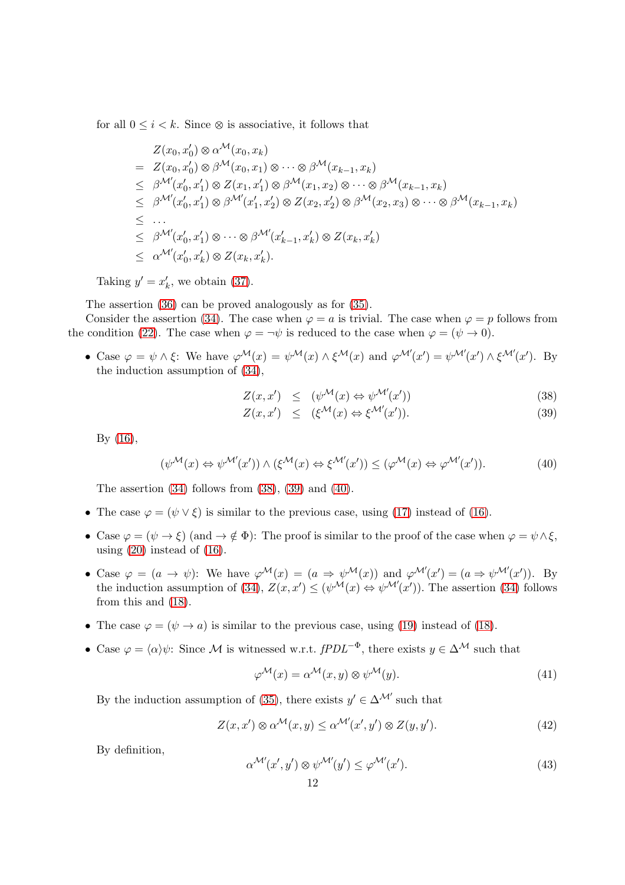for all  $0 \leq i \leq k$ . Since  $\otimes$  is associative, it follows that

$$
Z(x_0, x'_0) \otimes \alpha^{\mathcal{M}}(x_0, x_k)
$$
  
\n
$$
= Z(x_0, x'_0) \otimes \beta^{\mathcal{M}}(x_0, x_1) \otimes \cdots \otimes \beta^{\mathcal{M}}(x_{k-1}, x_k)
$$
  
\n
$$
\leq \beta^{\mathcal{M}'}(x'_0, x'_1) \otimes Z(x_1, x'_1) \otimes \beta^{\mathcal{M}}(x_1, x_2) \otimes \cdots \otimes \beta^{\mathcal{M}}(x_{k-1}, x_k)
$$
  
\n
$$
\leq \beta^{\mathcal{M}'}(x'_0, x'_1) \otimes \beta^{\mathcal{M}'}(x'_1, x'_2) \otimes Z(x_2, x'_2) \otimes \beta^{\mathcal{M}}(x_2, x_3) \otimes \cdots \otimes \beta^{\mathcal{M}}(x_{k-1}, x_k)
$$
  
\n
$$
\leq \cdots
$$
  
\n
$$
\leq \beta^{\mathcal{M}'}(x'_0, x'_1) \otimes \cdots \otimes \beta^{\mathcal{M}'}(x'_{k-1}, x'_k) \otimes Z(x_k, x'_k)
$$
  
\n
$$
\leq \alpha^{\mathcal{M}'}(x'_0, x'_k) \otimes Z(x_k, x'_k).
$$

Taking  $y' = x'_k$  $'_{k}$ , we obtain [\(37\)](#page-10-0).

The assertion [\(36\)](#page-9-2) can be proved analogously as for [\(35\)](#page-9-2).

Consider the assertion [\(34\)](#page-9-2). The case when  $\varphi = a$  is trivial. The case when  $\varphi = p$  follows from the condition [\(22\)](#page-6-2). The case when  $\varphi = \neg \psi$  is reduced to the case when  $\varphi = (\psi \to 0)$ .

• Case  $\varphi = \psi \wedge \xi$ : We have  $\varphi^{\mathcal{M}}(x) = \psi^{\mathcal{M}}(x) \wedge \xi^{\mathcal{M}}(x)$  and  $\varphi^{\mathcal{M}'}(x') = \psi^{\mathcal{M}'}(x') \wedge \xi^{\mathcal{M}'}(x')$ . By the induction assumption of [\(34\)](#page-9-2),

<span id="page-11-0"></span>
$$
Z(x, x') \leq (\psi^{\mathcal{M}}(x) \Leftrightarrow \psi^{\mathcal{M}'}(x')) \tag{38}
$$

$$
Z(x, x') \leq (\xi^{\mathcal{M}}(x) \Leftrightarrow \xi^{\mathcal{M}'}(x')). \tag{39}
$$

By [\(16\)](#page-2-0),

<span id="page-11-1"></span>
$$
(\psi^{\mathcal{M}}(x) \Leftrightarrow \psi^{\mathcal{M}'}(x')) \wedge (\xi^{\mathcal{M}}(x) \Leftrightarrow \xi^{\mathcal{M}'}(x')) \le (\varphi^{\mathcal{M}}(x) \Leftrightarrow \varphi^{\mathcal{M}'}(x')). \tag{40}
$$

The assertion  $(34)$  follows from  $(38)$ ,  $(39)$  and  $(40)$ .

- The case  $\varphi = (\psi \vee \xi)$  is similar to the previous case, using [\(17\)](#page-2-0) instead of [\(16\)](#page-2-0).
- Case  $\varphi = (\psi \to \xi)$  (and  $\to \notin \Phi$ ): The proof is similar to the proof of the case when  $\varphi = \psi \wedge \xi$ , using [\(20\)](#page-3-0) instead of [\(16\)](#page-2-0).
- Case  $\varphi = (a \to \psi)$ : We have  $\varphi^{\mathcal{M}}(x) = (a \Rightarrow \psi^{\mathcal{M}}(x))$  and  $\varphi^{\mathcal{M}'}(x') = (a \Rightarrow \psi^{\mathcal{M}'}(x'))$ . By the induction assumption of [\(34\)](#page-9-2),  $Z(x, x') \leq (\psi^{\mathcal{M}}(x) \Leftrightarrow \psi^{\mathcal{M}'}(x'))$ . The assertion (34) follows from this and [\(18\)](#page-2-0).
- The case  $\varphi = (\psi \to a)$  is similar to the previous case, using [\(19\)](#page-2-0) instead of [\(18\)](#page-2-0).
- Case  $\varphi = \langle \alpha \rangle \psi$ : Since M is witnessed w.r.t. fPDL<sup>- $\Phi$ </sup>, there exists  $y \in \Delta^{\mathcal{M}}$  such that

<span id="page-11-3"></span>
$$
\varphi^{\mathcal{M}}(x) = \alpha^{\mathcal{M}}(x, y) \otimes \psi^{\mathcal{M}}(y).
$$
\n(41)

By the induction assumption of [\(35\)](#page-9-2), there exists  $y' \in \Delta^{\mathcal{M}'}$  such that

<span id="page-11-2"></span>
$$
Z(x, x') \otimes \alpha^{\mathcal{M}}(x, y) \leq \alpha^{\mathcal{M}'}(x', y') \otimes Z(y, y'). \tag{42}
$$

By definition,

<span id="page-11-4"></span>
$$
\alpha^{\mathcal{M}'}(x', y') \otimes \psi^{\mathcal{M}'}(y') \leq \varphi^{\mathcal{M}'}(x'). \tag{43}
$$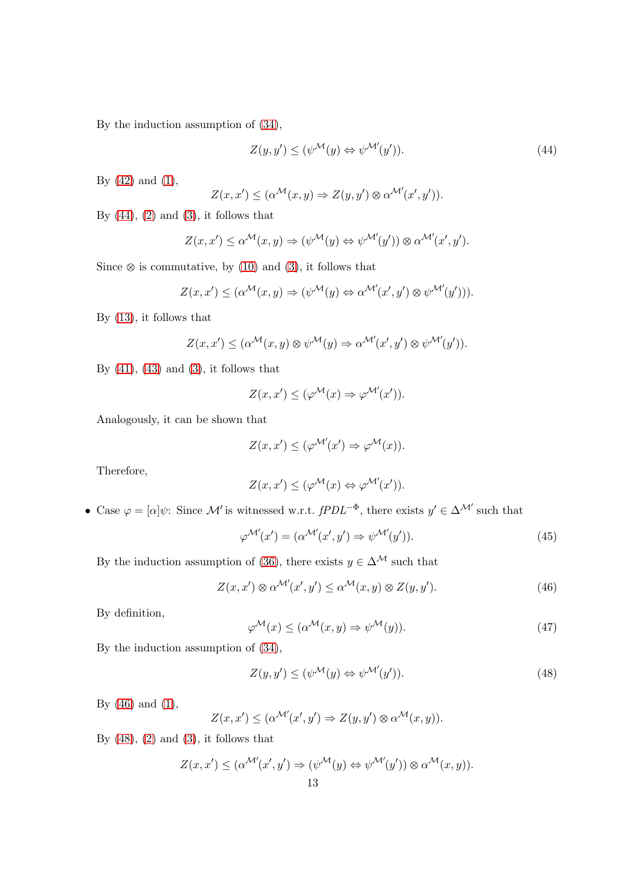By the induction assumption of [\(34\)](#page-9-2),

<span id="page-12-0"></span>
$$
Z(y, y') \le (\psi^{\mathcal{M}}(y) \Leftrightarrow \psi^{\mathcal{M}'}(y')). \tag{44}
$$

By  $(42)$  and  $(1)$ ,

$$
Z(x, x') \leq (\alpha^{\mathcal{M}}(x, y) \Rightarrow Z(y, y') \otimes \alpha^{\mathcal{M}'}(x', y')).
$$

By  $(44)$ ,  $(2)$  and  $(3)$ , it follows that

$$
Z(x, x') \leq \alpha^{\mathcal{M}}(x, y) \Rightarrow (\psi^{\mathcal{M}}(y) \Leftrightarrow \psi^{\mathcal{M}'}(y')) \otimes \alpha^{\mathcal{M}'}(x', y').
$$

Since  $\otimes$  is commutative, by [\(10\)](#page-2-0) and [\(3\)](#page-2-0), it follows that

$$
Z(x, x') \leq (\alpha^{\mathcal{M}}(x, y) \Rightarrow (\psi^{\mathcal{M}}(y) \Leftrightarrow \alpha^{\mathcal{M}'}(x', y') \otimes \psi^{\mathcal{M}'}(y'))).
$$

By [\(13\)](#page-2-0), it follows that

$$
Z(x, x') \leq (\alpha^{\mathcal{M}}(x, y) \otimes \psi^{\mathcal{M}}(y) \Rightarrow \alpha^{\mathcal{M}'}(x', y') \otimes \psi^{\mathcal{M}'}(y')).
$$

By  $(41)$ ,  $(43)$  and  $(3)$ , it follows that

$$
Z(x, x') \le (\varphi^{\mathcal{M}}(x) \Rightarrow \varphi^{\mathcal{M}'}(x')).
$$

Analogously, it can be shown that

$$
Z(x, x') \le (\varphi^{\mathcal{M}'}(x') \Rightarrow \varphi^{\mathcal{M}}(x)).
$$

Therefore,

$$
Z(x, x') \leq (\varphi^{\mathcal{M}}(x) \Leftrightarrow \varphi^{\mathcal{M}'}(x')).
$$

• Case  $\varphi = [\alpha]\psi$ : Since M' is witnessed w.r.t.  $fPDL^{-\Phi}$ , there exists  $y' \in \Delta^{\mathcal{M}'}$  such that

<span id="page-12-4"></span>
$$
\varphi^{\mathcal{M}'}(x') = (\alpha^{\mathcal{M}'}(x', y') \Rightarrow \psi^{\mathcal{M}'}(y')). \tag{45}
$$

By the induction assumption of [\(36\)](#page-9-2), there exists  $y \in \Delta^{\mathcal{M}}$  such that

<span id="page-12-1"></span>
$$
Z(x, x') \otimes \alpha^{\mathcal{M}'}(x', y') \leq \alpha^{\mathcal{M}}(x, y) \otimes Z(y, y'). \tag{46}
$$

By definition,

<span id="page-12-3"></span>
$$
\varphi^{\mathcal{M}}(x) \leq (\alpha^{\mathcal{M}}(x, y) \Rightarrow \psi^{\mathcal{M}}(y)). \tag{47}
$$

By the induction assumption of [\(34\)](#page-9-2),

<span id="page-12-2"></span>
$$
Z(y, y') \le (\psi^{\mathcal{M}}(y) \Leftrightarrow \psi^{\mathcal{M}'}(y')). \tag{48}
$$

By [\(46\)](#page-12-1) and [\(1\)](#page-2-1),

$$
Z(x, x') \leq (\alpha^{\mathcal{M}'}(x', y') \Rightarrow Z(y, y') \otimes \alpha^{\mathcal{M}}(x, y)).
$$

By  $(48)$ ,  $(2)$  and  $(3)$ , it follows that

$$
Z(x, x') \leq (\alpha^{\mathcal{M}'}(x', y') \Rightarrow (\psi^{\mathcal{M}}(y) \Leftrightarrow \psi^{\mathcal{M}'}(y')) \otimes \alpha^{\mathcal{M}}(x, y)).
$$
  
13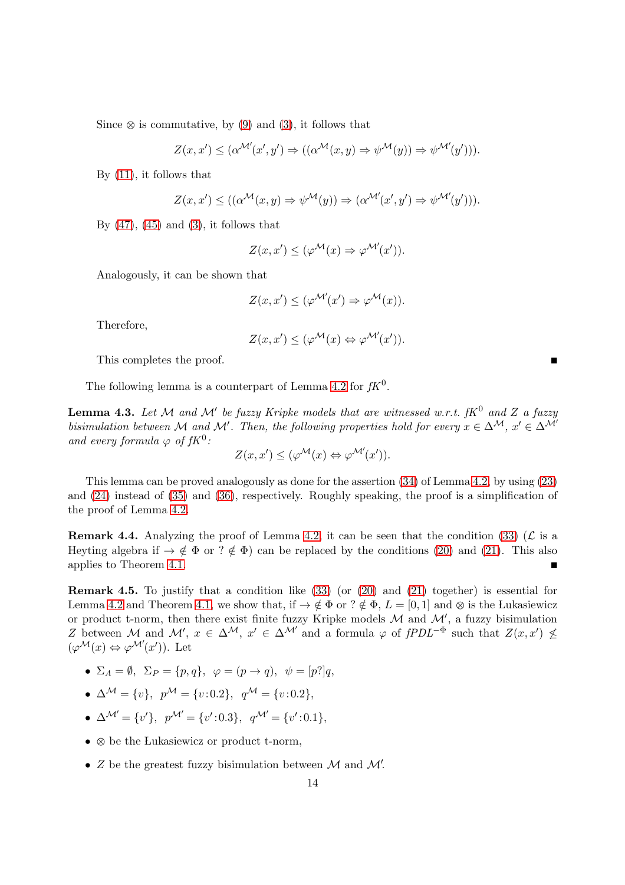Since  $\otimes$  is commutative, by [\(9\)](#page-2-0) and [\(3\)](#page-2-0), it follows that

$$
Z(x, x') \leq (\alpha^{\mathcal{M}'}(x', y') \Rightarrow ((\alpha^{\mathcal{M}}(x, y) \Rightarrow \psi^{\mathcal{M}}(y)) \Rightarrow \psi^{\mathcal{M}'}(y'))).
$$

By [\(11\)](#page-2-0), it follows that

$$
Z(x, x') \le ((\alpha^{\mathcal{M}}(x, y) \Rightarrow \psi^{\mathcal{M}}(y)) \Rightarrow (\alpha^{\mathcal{M}'}(x', y') \Rightarrow \psi^{\mathcal{M}'}(y'))).
$$

By  $(47)$ ,  $(45)$  and  $(3)$ , it follows that

$$
Z(x, x') \le (\varphi^{\mathcal{M}}(x) \Rightarrow \varphi^{\mathcal{M}'}(x')).
$$

Analogously, it can be shown that

$$
Z(x, x') \le (\varphi^{\mathcal{M}'}(x') \Rightarrow \varphi^{\mathcal{M}}(x)).
$$

Therefore,

$$
Z(x, x') \le (\varphi^{\mathcal{M}}(x) \Leftrightarrow \varphi^{\mathcal{M}'}(x')).
$$

This completes the proof.

<span id="page-13-0"></span>The following lemma is a counterpart of Lemma [4.2](#page-9-3) for  $fK^0$ .

**Lemma 4.3.** Let M and M' be fuzzy Kripke models that are witnessed w.r.t.  $fK^0$  and Z a fuzzy bisimulation between M and M'. Then, the following properties hold for every  $x \in \Delta^{\mathcal{M}}$ ,  $x' \in \Delta^{\mathcal{M}'}$ and every formula  $\varphi$  of  $fK^0$ :

$$
Z(x, x') \le (\varphi^{\mathcal{M}}(x) \Leftrightarrow \varphi^{\mathcal{M}'}(x')).
$$

This lemma can be proved analogously as done for the assertion [\(34\)](#page-9-2) of Lemma [4.2,](#page-9-3) by using [\(23\)](#page-6-2) and [\(24\)](#page-6-2) instead of [\(35\)](#page-9-2) and [\(36\)](#page-9-2), respectively. Roughly speaking, the proof is a simplification of the proof of Lemma [4.2.](#page-9-3)

**Remark 4.4.** Analyzing the proof of Lemma [4.2,](#page-9-3) it can be seen that the condition [\(33\)](#page-9-1) ( $\mathcal{L}$  is a Heyting algebra if  $\rightarrow \notin \Phi$  or ?  $\notin \Phi$ ) can be replaced by the conditions [\(20\)](#page-3-0) and [\(21\)](#page-3-0). This also applies to Theorem [4.1.](#page-9-4)

Remark 4.5. To justify that a condition like [\(33\)](#page-9-1) (or [\(20\)](#page-3-0) and [\(21\)](#page-3-0) together) is essential for Lemma [4.2](#page-9-3) and Theorem [4.1,](#page-9-4) we show that, if  $\rightarrow \notin \Phi$  or ?  $\notin \Phi$ ,  $L = [0, 1]$  and  $\otimes$  is the Lukasiewicz or product t-norm, then there exist finite fuzzy Kripke models  $M$  and  $M'$ , a fuzzy bisimulation Z between M and M',  $x \in \Delta^{\mathcal{M}}$ ,  $x' \in \Delta^{\mathcal{M}'}$  and a formula  $\varphi$  of  $fPDL^{-\Phi}$  such that  $Z(x, x') \nleq$  $(\varphi^{\mathcal{M}}(x) \Leftrightarrow \varphi^{\mathcal{M}'}(x'))$ . Let

- $\Sigma_A = \emptyset$ ,  $\Sigma_P = \{p, q\}$ ,  $\varphi = (p \rightarrow q)$ ,  $\psi = [p]^qq$
- $\Delta^{\mathcal{M}} = \{v\}, p^{\mathcal{M}} = \{v: 0.2\}, q^{\mathcal{M}} = \{v: 0.2\},$
- $\Delta^{\mathcal{M}'} = \{v'\}, p^{\mathcal{M}'} = \{v':0.3\}, q^{\mathcal{M}'} = \{v':0.1\},\$
- $\otimes$  be the Lukasiewicz or product t-norm,
- $Z$  be the greatest fuzzy bisimulation between  $M$  and  $M'$ .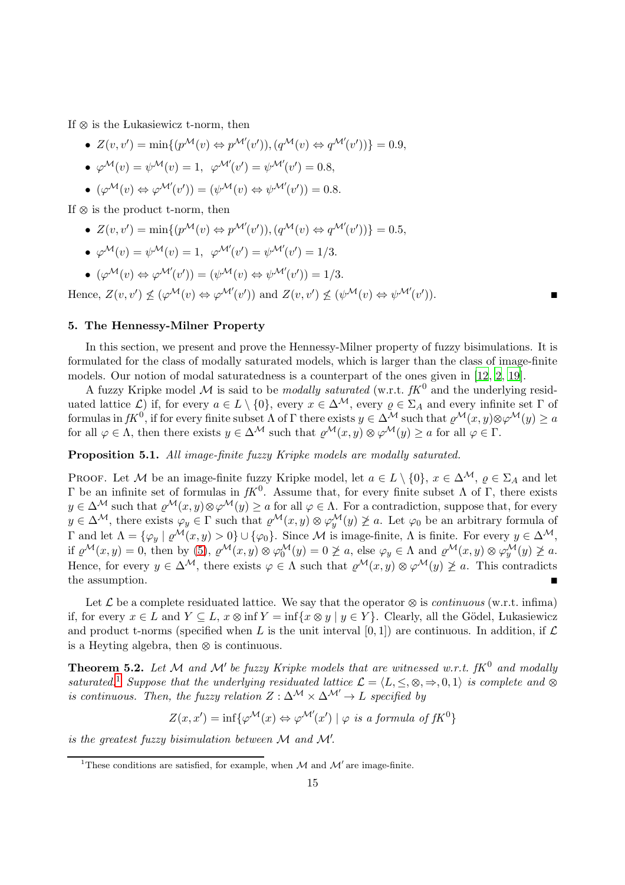If  $\otimes$  is the Lukasiewicz t-norm, then

- $Z(v, v') = \min\{p^{\mathcal{M}}(v) \Leftrightarrow p^{\mathcal{M}'}(v')), (q^{\mathcal{M}}(v) \Leftrightarrow q^{\mathcal{M}'}(v'))\} = 0.9,$
- $\varphi^{\mathcal{M}}(v) = \psi^{\mathcal{M}}(v) = 1, \ \ \varphi^{\mathcal{M}'}(v') = \psi^{\mathcal{M}'}(v') = 0.8,$
- $(\varphi^{\mathcal{M}}(v) \Leftrightarrow \varphi^{\mathcal{M}'}(v')) = (\psi^{\mathcal{M}}(v) \Leftrightarrow \psi^{\mathcal{M}'}(v')) = 0.8.$

If  $\otimes$  is the product t-norm, then

•  $Z(v, v') = \min\{(p^{\mathcal{M}}(v) \Leftrightarrow p^{\mathcal{M}'}(v')), (q^{\mathcal{M}}(v) \Leftrightarrow q^{\mathcal{M}'}(v'))\} = 0.5,$ 

• 
$$
\varphi^{\mathcal{M}}(v) = \psi^{\mathcal{M}}(v) = 1, \ \varphi^{\mathcal{M}'}(v') = \psi^{\mathcal{M}'}(v') = 1/3.
$$

•  $(\varphi^{\mathcal{M}}(v) \Leftrightarrow \varphi^{\mathcal{M}'}(v')) = (\psi^{\mathcal{M}}(v) \Leftrightarrow \psi^{\mathcal{M}'}(v')) = 1/3.$ 

Hence,  $Z(v, v') \nleq (\varphi^{\mathcal{M}}(v) \Leftrightarrow \varphi^{\mathcal{M}'}(v'))$  and  $Z(v, v') \nleq (\psi^{\mathcal{M}}(v) \Leftrightarrow \psi^{\mathcal{M}'}(v')$ )).  $\qquad \qquad \blacksquare$ 

# <span id="page-14-0"></span>5. The Hennessy-Milner Property

In this section, we present and prove the Hennessy-Milner property of fuzzy bisimulations. It is formulated for the class of modally saturated models, which is larger than the class of image-finite models. Our notion of modal saturatedness is a counterpart of the ones given in [\[12](#page-18-12), [2](#page-17-1), [19\]](#page-18-5).

A fuzzy Kripke model M is said to be *modally saturated* (w.r.t.  $fK^0$  and the underlying residuated lattice  $\mathcal{L}$ ) if, for every  $a \in L \setminus \{0\}$ , every  $x \in \Delta^{\mathcal{M}}$ , every  $\varrho \in \Sigma_A$  and every infinite set  $\Gamma$  of formulas in  $fK^0$ , if for every finite subset  $\Lambda$  of  $\Gamma$  there exists  $y \in \Delta^{\mathcal{M}}$  such that  $\varrho^{\mathcal{M}}(x, y) \otimes \varphi^{\mathcal{M}}(y) \ge a$ for all  $\varphi \in \Lambda$ , then there exists  $y \in \Delta^{\mathcal{M}}$  such that  $\varrho^{\mathcal{M}}(x, y) \otimes \varphi^{\mathcal{M}}(y) \geq a$  for all  $\varphi \in \Gamma$ .

Proposition 5.1. All image-finite fuzzy Kripke models are modally saturated.

PROOF. Let M be an image-finite fuzzy Kripke model, let  $a \in L \setminus \{0\}$ ,  $x \in \Delta^{\mathcal{M}}$ ,  $\varrho \in \Sigma_A$  and let Γ be an infinite set of formulas in  $fK^0$ . Assume that, for every finite subset  $Λ$  of Γ, there exists  $y \in \Delta^{\mathcal{M}}$  such that  $\varrho^{\mathcal{M}}(x, y) \otimes \varphi^{\mathcal{M}}(y) \geq a$  for all  $\varphi \in \Lambda$ . For a contradiction, suppose that, for every  $y \in \Delta^{\mathcal{M}}$ , there exists  $\varphi_y \in \Gamma$  such that  $\varrho^{\mathcal{M}}(x, y) \otimes \varphi_y^{\mathcal{M}}(y) \not\geq a$ . Let  $\varphi_0$  be an arbitrary formula of Γ and let  $Λ = {φ_y | ρ^M(x, y) > 0} ∪ {φ_0}.$  Since *M* is image-finite, Λ is finite. For every  $y ∈ Δ^M$ , if  $\varrho^{\mathcal{M}}(x,y) = 0$ , then by [\(5\)](#page-2-0),  $\varrho^{\mathcal{M}}(x,y) \otimes \varphi_0^{\mathcal{M}}(y) = 0 \not\geq a$ , else  $\varphi_y \in \Lambda$  and  $\varrho^{\mathcal{M}}(x,y) \otimes \varphi_y^{\mathcal{M}}(y) \not\geq a$ . Hence, for every  $y \in \Delta^{\mathcal{M}}$ , there exists  $\varphi \in \Lambda$  such that  $\varrho^{\mathcal{M}}(x, y) \otimes \varphi^{\mathcal{M}}(y) \not\geq a$ . This contradicts the assumption.

Let  $\mathcal L$  be a complete residuated lattice. We say that the operator  $\otimes$  is *continuous* (w.r.t. infima) if, for every  $x \in L$  and  $Y \subseteq L$ ,  $x \otimes \inf Y = \inf\{x \otimes y \mid y \in Y\}$ . Clearly, all the Gödel, Lukasiewicz and product t-norms (specified when L is the unit interval [0, 1]) are continuous. In addition, if  $\mathcal L$ is a Heyting algebra, then  $\otimes$  is continuous.

<span id="page-14-2"></span>**Theorem 5.2.** Let M and M' be fuzzy Kripke models that are witnessed w.r.t.  $fK^0$  and modally saturated.<sup>[1](#page-14-1)</sup> Suppose that the underlying residuated lattice  $\mathcal{L} = \langle L, \leq, \otimes, \Rightarrow, 0, 1 \rangle$  is complete and  $\otimes$ is continuous. Then, the fuzzy relation  $Z : \Delta^{\mathcal{M}} \times \Delta^{\mathcal{M}'} \rightarrow L$  specified by

$$
Z(x, x') = \inf \{ \varphi^{\mathcal{M}}(x) \Leftrightarrow \varphi^{\mathcal{M}'}(x') \mid \varphi \text{ is a formula of } fK^0 \}
$$

is the greatest fuzzy bisimulation between  $M$  and  $M'$ .

<span id="page-14-1"></span><sup>&</sup>lt;sup>1</sup>These conditions are satisfied, for example, when  $M$  and  $M'$  are image-finite.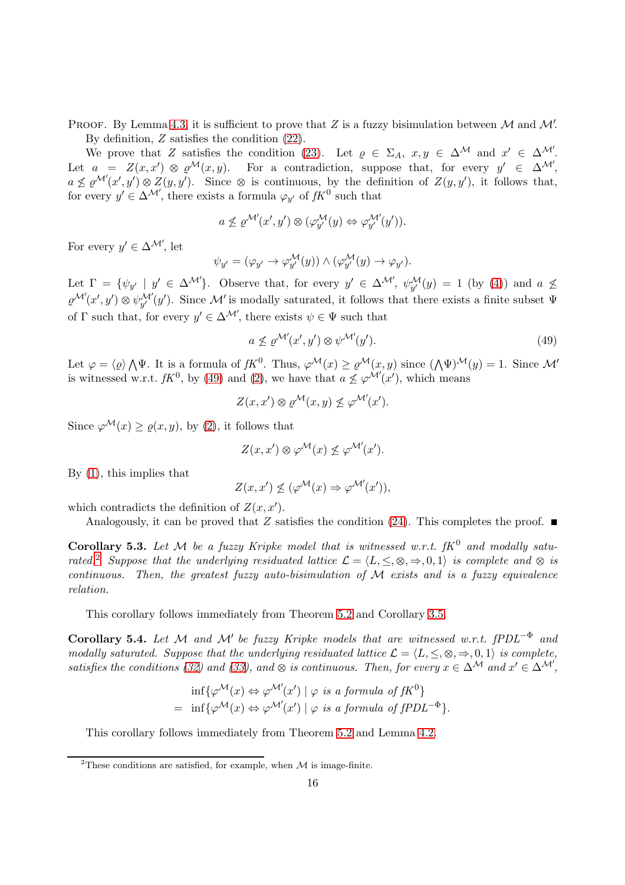PROOF. By Lemma [4.3,](#page-13-0) it is sufficient to prove that Z is a fuzzy bisimulation between  $\mathcal M$  and  $\mathcal M'$ . By definition, Z satisfies the condition [\(22\)](#page-6-2).

We prove that Z satisfies the condition [\(23\)](#page-6-2). Let  $\varrho \in \Sigma_A$ ,  $x, y \in \Delta^{\mathcal{M}}$  and  $x' \in \Delta^{\mathcal{M}}$ . Let  $a = Z(x, x') \otimes \varrho^{\mathcal{M}}(x, y)$ . For a contradiction, suppose that, for every  $y' \in \Delta^{\mathcal{M}}'$ ,  $a \nleq \varrho^{\mathcal{M}'}(x', y') \otimes Z(y, y')$ . Since  $\otimes$  is continuous, by the definition of  $Z(y, y')$ , it follows that, for every  $y' \in \Delta^{\mathcal{M}'}$ , there exists a formula  $\varphi_{y'}$  of  $fK^0$  such that

$$
a \nleq \varrho^{\mathcal{M}'}(x', y') \otimes (\varphi^{\mathcal{M}}_{y'}(y) \Leftrightarrow \varphi^{\mathcal{M}'}_{y'}(y')).
$$

For every  $y' \in \Delta^{\mathcal{M}'}$ , let

$$
\psi_{y'} = (\varphi_{y'} \to \varphi_{y'}^{\mathcal{M}}(y)) \land (\varphi_{y'}^{\mathcal{M}}(y) \to \varphi_{y'}).
$$

Let  $\Gamma = \{\psi_{y'} \mid y' \in \Delta^{\mathcal{M'}}\}$ . Observe that, for every  $y' \in \Delta^{\mathcal{M'}}, \ \psi_{y'}^{\mathcal{M}}(y) = 1$  (by [\(4\)](#page-2-0)) and  $a \not\leq$  $\varrho^{\mathcal{M}'}(x',y')\otimes\psi^{\mathcal{M}'}_{y'}(y')$ . Since M' is modally saturated, it follows that there exists a finite subset  $\Psi$ of  $\Gamma$  such that, for every  $y' \in \Delta^{\mathcal{M}'}$ , there exists  $\psi \in \Psi$  such that

<span id="page-15-0"></span>
$$
a \nleq \varrho^{\mathcal{M}'}(x', y') \otimes \psi^{\mathcal{M}'}(y'). \tag{49}
$$

Let  $\varphi = \langle \varrho \rangle \bigwedge \Psi$ . It is a formula of  $fK^0$ . Thus,  $\varphi^{\mathcal{M}}(x) \geq \varrho^{\mathcal{M}}(x, y)$  since  $(\bigwedge \Psi)^{\mathcal{M}}(y) = 1$ . Since  $\mathcal{M}'$ is witnessed w.r.t.  $fK^0$ , by [\(49\)](#page-15-0) and [\(2\)](#page-2-0), we have that  $a \nleq \varphi^{\mathcal{M}'}(x')$ , which means

$$
Z(x, x') \otimes \varrho^{\mathcal{M}}(x, y) \nleq \varphi^{\mathcal{M}'}(x').
$$

Since  $\varphi^{\mathcal{M}}(x) \geq \varrho(x, y)$ , by [\(2\)](#page-2-0), it follows that

$$
Z(x, x') \otimes \varphi^{\mathcal{M}}(x) \nleq \varphi^{\mathcal{M}'}(x').
$$

By [\(1\)](#page-2-1), this implies that

$$
Z(x, x') \nleq (\varphi^{\mathcal{M}}(x) \Rightarrow \varphi^{\mathcal{M}'}(x')),
$$

which contradicts the definition of  $Z(x, x')$ .

Analogously, it can be proved that Z satisfies the condition [\(24\)](#page-6-2). This completes the proof.  $\blacksquare$ 

**Corollary 5.3.** Let M be a fuzzy Kripke model that is witnessed w.r.t.  $fK^0$  and modally satu-rated.<sup>[2](#page-15-1)</sup> Suppose that the underlying residuated lattice  $\mathcal{L} = \{L, \leq, \otimes, \Rightarrow, 0, 1\}$  is complete and  $\otimes$  is  $continuous.$  Then, the greatest fuzzy auto-bisimulation of  $M$  exists and is a fuzzy equivalence relation.

This corollary follows immediately from Theorem [5.2](#page-14-2) and Corollary [3.5.](#page-9-5)

**Corollary 5.4.** Let M and M' be fuzzy Kripke models that are witnessed w.r.t.  $fPDL^{-\Phi}$  and modally saturated. Suppose that the underlying residuated lattice  $\mathcal{L} = \{L, \leq, \otimes, \Rightarrow, 0, 1\}$  is complete, satisfies the conditions [\(32\)](#page-9-1) and [\(33\)](#page-9-1), and  $\otimes$  is continuous. Then, for every  $x \in \Delta^{\mathcal{M}}$  and  $x' \in \Delta^{\mathcal{M}}$ ,

$$
\inf \{ \varphi^{\mathcal{M}}(x) \Leftrightarrow \varphi^{\mathcal{M}'}(x') \mid \varphi \text{ is a formula of } fK^0 \}
$$
  
= 
$$
\inf \{ \varphi^{\mathcal{M}}(x) \Leftrightarrow \varphi^{\mathcal{M}'}(x') \mid \varphi \text{ is a formula of } fPDL^{-\Phi} \}.
$$

This corollary follows immediately from Theorem [5.2](#page-14-2) and Lemma [4.2.](#page-9-3)

<span id="page-15-1"></span><sup>&</sup>lt;sup>2</sup>These conditions are satisfied, for example, when  $M$  is image-finite.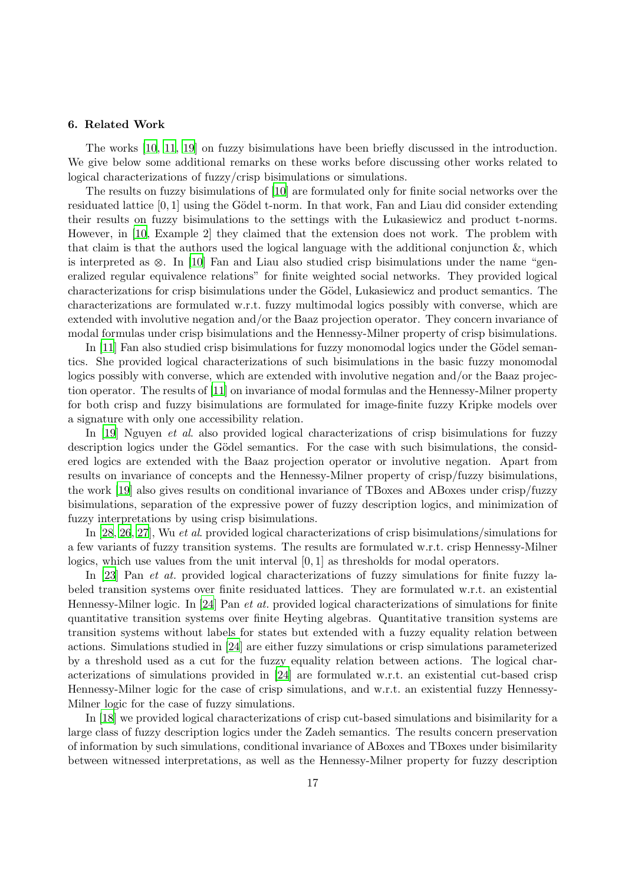## <span id="page-16-0"></span>6. Related Work

The works [10, [11](#page-18-4), [19](#page-18-5)] on fuzzy bisimulations have been briefly discussed in the introduction. We give below some additional remarks on these works before discussing other works related to logical characterizations of fuzzy/crisp bisimulations or simulations.

The results on fuzzy bisimulations of [10] are formulated only for finite social networks over the residuated lattice  $[0, 1]$  using the Gödel t-norm. In that work, Fan and Liau did consider extending their results on fuzzy bisimulations to the settings with the Lukasiewicz and product t-norms. However, in [10, Example 2] they claimed that the extension does not work. The problem with that claim is that the authors used the logical language with the additional conjunction  $\&$ , which is interpreted as  $\otimes$ . In [10] Fan and Liau also studied crisp bisimulations under the name "generalized regular equivalence relations" for finite weighted social networks. They provided logical characterizations for crisp bisimulations under the Gödel, Lukasiewicz and product semantics. The characterizations are formulated w.r.t. fuzzy multimodal logics possibly with converse, which are extended with involutive negation and/or the Baaz projection operator. They concern invariance of modal formulas under crisp bisimulations and the Hennessy-Milner property of crisp bisimulations.

In  $[11]$  Fan also studied crisp bisimulations for fuzzy monomodal logics under the Gödel semantics. She provided logical characterizations of such bisimulations in the basic fuzzy monomodal logics possibly with converse, which are extended with involutive negation and/or the Baaz projection operator. The results of [\[11\]](#page-18-4) on invariance of modal formulas and the Hennessy-Milner property for both crisp and fuzzy bisimulations are formulated for image-finite fuzzy Kripke models over a signature with only one accessibility relation.

In [\[19](#page-18-5)] Nguyen et al. also provided logical characterizations of crisp bisimulations for fuzzy description logics under the Gödel semantics. For the case with such bisimulations, the considered logics are extended with the Baaz projection operator or involutive negation. Apart from results on invariance of concepts and the Hennessy-Milner property of crisp/fuzzy bisimulations, the work [\[19](#page-18-5)] also gives results on conditional invariance of TBoxes and ABoxes under crisp/fuzzy bisimulations, separation of the expressive power of fuzzy description logics, and minimization of fuzzy interpretations by using crisp bisimulations.

In [28, 26, 27], Wu et al. provided logical characterizations of crisp bisimulations/simulations for a few variants of fuzzy transition systems. The results are formulated w.r.t. crisp Hennessy-Milner logics, which use values from the unit interval [0, 1] as thresholds for modal operators.

In [23] Pan et at. provided logical characterizations of fuzzy simulations for finite fuzzy labeled transition systems over finite residuated lattices. They are formulated w.r.t. an existential Hennessy-Milner logic. In [24] Pan et at. provided logical characterizations of simulations for finite quantitative transition systems over finite Heyting algebras. Quantitative transition systems are transition systems without labels for states but extended with a fuzzy equality relation between actions. Simulations studied in [24] are either fuzzy simulations or crisp simulations parameterized by a threshold used as a cut for the fuzzy equality relation between actions. The logical characterizations of simulations provided in [24] are formulated w.r.t. an existential cut-based crisp Hennessy-Milner logic for the case of crisp simulations, and w.r.t. an existential fuzzy Hennessy-Milner logic for the case of fuzzy simulations.

In [\[18](#page-18-13)] we provided logical characterizations of crisp cut-based simulations and bisimilarity for a large class of fuzzy description logics under the Zadeh semantics. The results concern preservation of information by such simulations, conditional invariance of ABoxes and TBoxes under bisimilarity between witnessed interpretations, as well as the Hennessy-Milner property for fuzzy description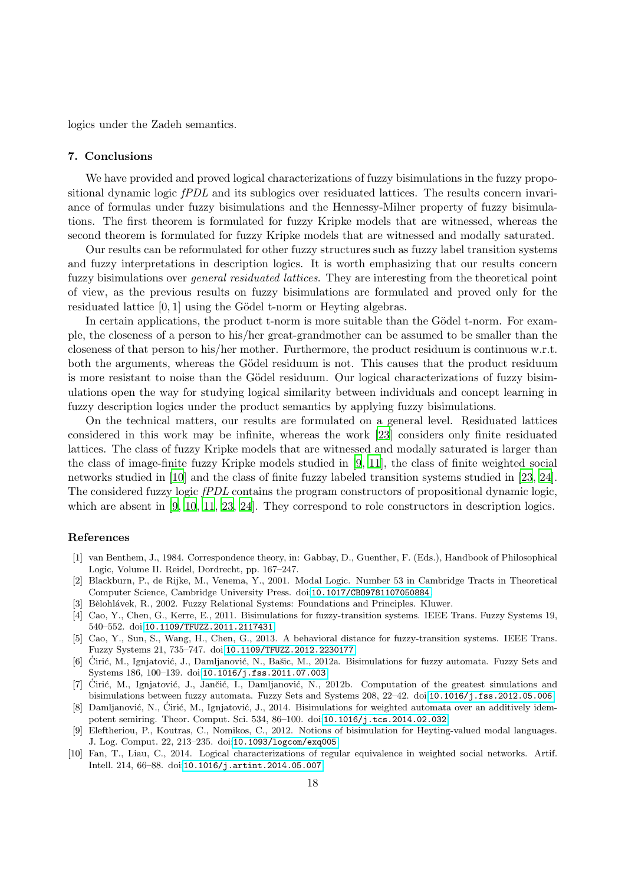logics under the Zadeh semantics.

# <span id="page-17-8"></span>7. Conclusions

We have provided and proved logical characterizations of fuzzy bisimulations in the fuzzy propositional dynamic logic *fPDL* and its sublogics over residuated lattices. The results concern invariance of formulas under fuzzy bisimulations and the Hennessy-Milner property of fuzzy bisimulations. The first theorem is formulated for fuzzy Kripke models that are witnessed, whereas the second theorem is formulated for fuzzy Kripke models that are witnessed and modally saturated.

Our results can be reformulated for other fuzzy structures such as fuzzy label transition systems and fuzzy interpretations in description logics. It is worth emphasizing that our results concern fuzzy bisimulations over *general residuated lattices*. They are interesting from the theoretical point of view, as the previous results on fuzzy bisimulations are formulated and proved only for the residuated lattice [0, 1] using the Gödel t-norm or Heyting algebras.

In certain applications, the product t-norm is more suitable than the Gödel t-norm. For example, the closeness of a person to his/her great-grandmother can be assumed to be smaller than the closeness of that person to his/her mother. Furthermore, the product residuum is continuous w.r.t. both the arguments, whereas the Gödel residuum is not. This causes that the product residuum is more resistant to noise than the Gödel residuum. Our logical characterizations of fuzzy bisimulations open the way for studying logical similarity between individuals and concept learning in fuzzy description logics under the product semantics by applying fuzzy bisimulations.

On the technical matters, our results are formulated on a general level. Residuated lattices considered in this work may be infinite, whereas the work [23] considers only finite residuated lattices. The class of fuzzy Kripke models that are witnessed and modally saturated is larger than the class of image-finite fuzzy Kripke models studied in [\[9](#page-17-5), [11](#page-18-4)], the class of finite weighted social networks studied in [10] and the class of finite fuzzy labeled transition systems studied in [23, 24]. The considered fuzzy logic fPDL contains the program constructors of propositional dynamic logic, which are absent in [\[9](#page-17-5), 10, [11](#page-18-4), 23, 24]. They correspond to role constructors in description logics.

# References

- <span id="page-17-0"></span>[1] van Benthem, J., 1984. Correspondence theory, in: Gabbay, D., Guenther, F. (Eds.), Handbook of Philosophical Logic, Volume II. Reidel, Dordrecht, pp. 167–247.
- <span id="page-17-1"></span>[2] Blackburn, P., de Rijke, M., Venema, Y., 2001. Modal Logic. Number 53 in Cambridge Tracts in Theoretical Computer Science, Cambridge University Press. doi:[10.1017/CBO9781107050884](http://dx.doi.org/10.1017/CBO9781107050884).
- <span id="page-17-9"></span>[3] Bělohlávek, R., 2002. Fuzzy Relational Systems: Foundations and Principles. Kluwer.
- <span id="page-17-2"></span>[4] Cao, Y., Chen, G., Kerre, E., 2011. Bisimulations for fuzzy-transition systems. IEEE Trans. Fuzzy Systems 19, 540–552. doi:[10.1109/TFUZZ.2011.2117431](http://dx.doi.org/10.1109/TFUZZ.2011.2117431).
- <span id="page-17-3"></span>[5] Cao, Y., Sun, S., Wang, H., Chen, G., 2013. A behavioral distance for fuzzy-transition systems. IEEE Trans. Fuzzy Systems 21, 735–747. doi:[10.1109/TFUZZ.2012.2230177](http://dx.doi.org/10.1109/TFUZZ.2012.2230177).
- <span id="page-17-6"></span>[6] Ćirić, M., Ignjatović, J., Damljanović, N., Bašic, M., 2012a. Bisimulations for fuzzy automata. Fuzzy Sets and Systems 186, 100–139. doi:[10.1016/j.fss.2011.07.003](http://dx.doi.org/10.1016/j.fss.2011.07.003).
- <span id="page-17-7"></span>[7] Ćirić, M., Ignjatović, J., Jančić, I., Damljanović, N., 2012b. Computation of the greatest simulations and bisimulations between fuzzy automata. Fuzzy Sets and Systems 208, 22–42. doi:[10.1016/j.fss.2012.05.006](http://dx.doi.org/10.1016/j.fss.2012.05.006).
- <span id="page-17-4"></span>[8] Damljanović, N., Ćirić, M., Ignjatović, J., 2014. Bisimulations for weighted automata over an additively idempotent semiring. Theor. Comput. Sci. 534, 86–100. doi:[10.1016/j.tcs.2014.02.032](http://dx.doi.org/10.1016/j.tcs.2014.02.032).
- <span id="page-17-5"></span>[9] Eleftheriou, P., Koutras, C., Nomikos, C., 2012. Notions of bisimulation for Heyting-valued modal languages. J. Log. Comput. 22, 213–235. doi:[10.1093/logcom/exq005](http://dx.doi.org/10.1093/logcom/exq005).
- [10] Fan, T., Liau, C., 2014. Logical characterizations of regular equivalence in weighted social networks. Artif. Intell. 214, 66–88. doi:[10.1016/j.artint.2014.05.007](http://dx.doi.org/10.1016/j.artint.2014.05.007).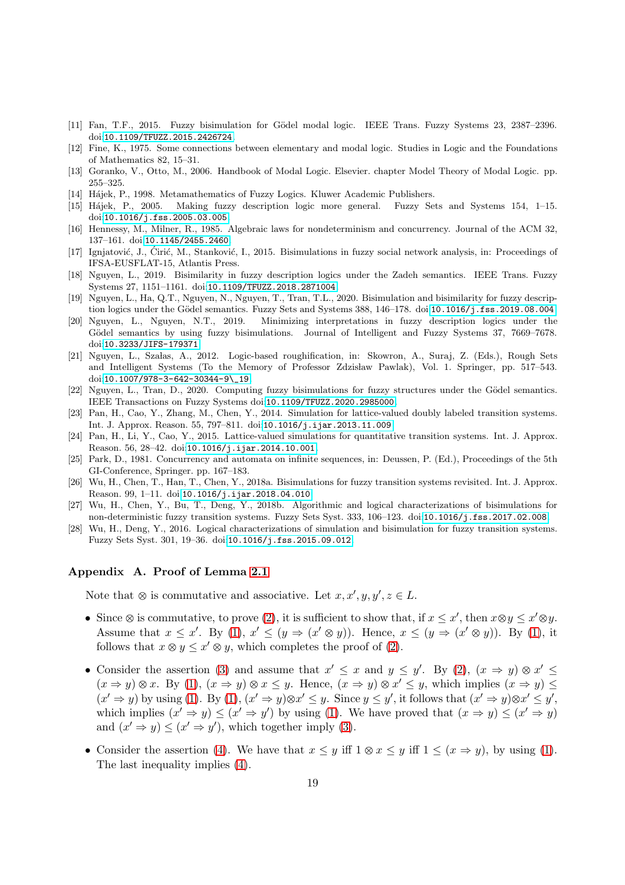- <span id="page-18-4"></span>[11] Fan, T.F., 2015. Fuzzy bisimulation for Gödel modal logic. IEEE Trans. Fuzzy Systems 23, 2387–2396. doi:[10.1109/TFUZZ.2015.2426724](http://dx.doi.org/10.1109/TFUZZ.2015.2426724).
- <span id="page-18-12"></span>[12] Fine, K., 1975. Some connections between elementary and modal logic. Studies in Logic and the Foundations of Mathematics 82, 15–31.
- <span id="page-18-2"></span>[13] Goranko, V., Otto, M., 2006. Handbook of Modal Logic. Elsevier. chapter Model Theory of Modal Logic. pp. 255–325.
- <span id="page-18-9"></span>[14] Hájek, P., 1998. Metamathematics of Fuzzy Logics. Kluwer Academic Publishers.
- <span id="page-18-11"></span>[15] H´ajek, P., 2005. Making fuzzy description logic more general. Fuzzy Sets and Systems 154, 1–15. doi:[10.1016/j.fss.2005.03.005](http://dx.doi.org/10.1016/j.fss.2005.03.005).
- <span id="page-18-1"></span>[16] Hennessy, M., Milner, R., 1985. Algebraic laws for nondeterminism and concurrency. Journal of the ACM 32, 137–161. doi:[10.1145/2455.2460](http://dx.doi.org/10.1145/2455.2460).
- <span id="page-18-6"></span>[17] Ignjatović, J., Cirić, M., Stanković, I., 2015. Bisimulations in fuzzy social network analysis, in: Proceedings of IFSA-EUSFLAT-15, Atlantis Press.
- <span id="page-18-13"></span>[18] Nguyen, L., 2019. Bisimilarity in fuzzy description logics under the Zadeh semantics. IEEE Trans. Fuzzy Systems 27, 1151–1161. doi:[10.1109/TFUZZ.2018.2871004](http://dx.doi.org/10.1109/TFUZZ.2018.2871004).
- <span id="page-18-5"></span>[19] Nguyen, L., Ha, Q.T., Nguyen, N., Nguyen, T., Tran, T.L., 2020. Bisimulation and bisimilarity for fuzzy descrip-tion logics under the Gödel semantics. Fuzzy Sets and Systems 388, 146–178. doi:[10.1016/j.fss.2019.08.004](http://dx.doi.org/10.1016/j.fss.2019.08.004).
- <span id="page-18-7"></span>[20] Nguyen, L., Nguyen, N.T., 2019. Minimizing interpretations in fuzzy description logics under the Gödel semantics by using fuzzy bisimulations. Journal of Intelligent and Fuzzy Systems 37, 7669–7678. doi:[10.3233/JIFS-179371](http://dx.doi.org/10.3233/JIFS-179371).
- <span id="page-18-3"></span>[21] Nguyen, L., Szałas, A., 2012. Logic-based roughification, in: Skowron, A., Suraj, Z. (Eds.), Rough Sets and Intelligent Systems (To the Memory of Professor Zdzisław Pawlak), Vol. 1. Springer, pp. 517–543. doi:[10.1007/978-3-642-30344-9\\\_19](http://dx.doi.org/10.1007/978-3-642-30344-9_19).
- <span id="page-18-8"></span>[22] Nguyen, L., Tran, D., 2020. Computing fuzzy bisimulations for fuzzy structures under the Gödel semantics. IEEE Transactions on Fuzzy Systems doi:[10.1109/TFUZZ.2020.2985000](http://dx.doi.org/10.1109/TFUZZ.2020.2985000).
- [23] Pan, H., Cao, Y., Zhang, M., Chen, Y., 2014. Simulation for lattice-valued doubly labeled transition systems. Int. J. Approx. Reason. 55, 797–811. doi:[10.1016/j.ijar.2013.11.009](http://dx.doi.org/10.1016/j.ijar.2013.11.009).
- [24] Pan, H., Li, Y., Cao, Y., 2015. Lattice-valued simulations for quantitative transition systems. Int. J. Approx. Reason. 56, 28–42. doi:[10.1016/j.ijar.2014.10.001](http://dx.doi.org/10.1016/j.ijar.2014.10.001).
- <span id="page-18-0"></span>[25] Park, D., 1981. Concurrency and automata on infinite sequences, in: Deussen, P. (Ed.), Proceedings of the 5th GI-Conference, Springer. pp. 167–183.
- [26] Wu, H., Chen, T., Han, T., Chen, Y., 2018a. Bisimulations for fuzzy transition systems revisited. Int. J. Approx. Reason. 99, 1–11. doi:[10.1016/j.ijar.2018.04.010](http://dx.doi.org/10.1016/j.ijar.2018.04.010).
- [27] Wu, H., Chen, Y., Bu, T., Deng, Y., 2018b. Algorithmic and logical characterizations of bisimulations for non-deterministic fuzzy transition systems. Fuzzy Sets Syst. 333, 106–123. doi:[10.1016/j.fss.2017.02.008](http://dx.doi.org/10.1016/j.fss.2017.02.008).
- [28] Wu, H., Deng, Y., 2016. Logical characterizations of simulation and bisimulation for fuzzy transition systems. Fuzzy Sets Syst. 301, 19–36. doi:[10.1016/j.fss.2015.09.012](http://dx.doi.org/10.1016/j.fss.2015.09.012).

# <span id="page-18-10"></span>Appendix A. Proof of Lemma [2.1](#page-2-2)

Note that  $\otimes$  is commutative and associative. Let  $x, x', y, y', z \in L$ .

- Since  $\otimes$  is commutative, to prove [\(2\)](#page-2-0), it is sufficient to show that, if  $x \leq x'$ , then  $x \otimes y \leq x' \otimes y$ . Assume that  $x \leq x'$ . By [\(1\)](#page-2-1),  $x' \leq (y \Rightarrow (x' \otimes y))$ . Hence,  $x \leq (y \Rightarrow (x' \otimes y))$ . By (1), it follows that  $x \otimes y \leq x' \otimes y$ , which completes the proof of [\(2\)](#page-2-0).
- Consider the assertion [\(3\)](#page-2-0) and assume that  $x' \leq x$  and  $y \leq y'$ . By [\(2\)](#page-2-0),  $(x \Rightarrow y) \otimes x' \leq y'$  $(x \Rightarrow y) \otimes x$ . By [\(1\)](#page-2-1),  $(x \Rightarrow y) \otimes x \leq y$ . Hence,  $(x \Rightarrow y) \otimes x' \leq y$ , which implies  $(x \Rightarrow y) \leq y$  $(x' \Rightarrow y)$  by using [\(1\)](#page-2-1). By (1),  $(x' \Rightarrow y) \otimes x' \leq y$ . Since  $y \leq y'$ , it follows that  $(x' \Rightarrow y) \otimes x' \leq y'$ , which implies  $(x' \Rightarrow y) \leq (x' \Rightarrow y')$  by using [\(1\)](#page-2-1). We have proved that  $(x \Rightarrow y) \leq (x' \Rightarrow y)$ and  $(x' \Rightarrow y) \leq (x' \Rightarrow y')$ , which together imply [\(3\)](#page-2-0).
- Consider the assertion [\(4\)](#page-2-0). We have that  $x \leq y$  iff  $1 \otimes x \leq y$  iff  $1 \leq (x \Rightarrow y)$ , by using [\(1\)](#page-2-1). The last inequality implies [\(4\)](#page-2-0).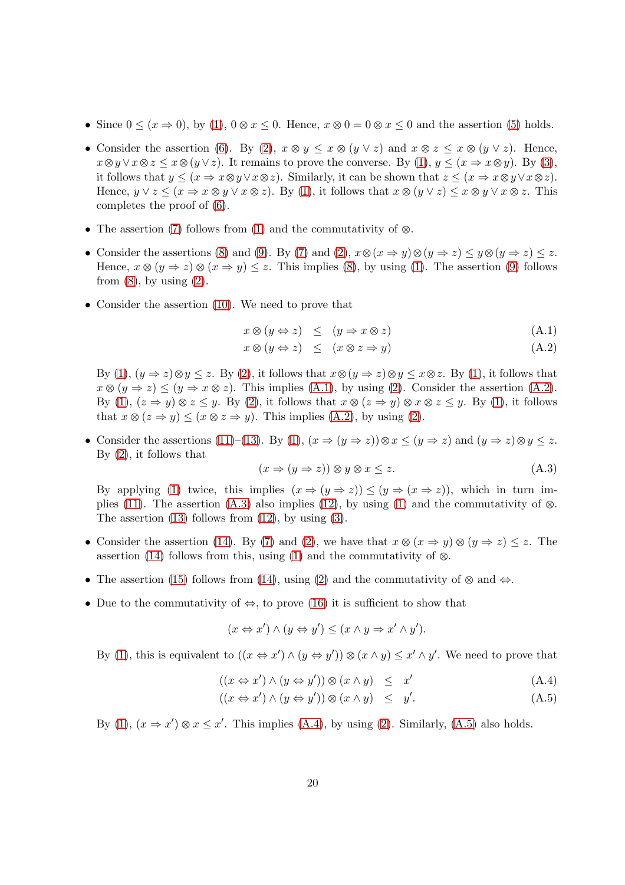- Since  $0 \leq (x \Rightarrow 0)$ , by [\(1\)](#page-2-1),  $0 \otimes x \leq 0$ . Hence,  $x \otimes 0 = 0 \otimes x \leq 0$  and the assertion [\(5\)](#page-2-0) holds.
- Consider the assertion [\(6\)](#page-2-0). By [\(2\)](#page-2-0),  $x \otimes y \leq x \otimes (y \vee z)$  and  $x \otimes z \leq x \otimes (y \vee z)$ . Hence,  $x\otimes y\vee x\otimes z\leq x\otimes (y\vee z)$ . It remains to prove the converse. By [\(1\)](#page-2-1),  $y\leq (x\Rightarrow x\otimes y)$ . By [\(3\)](#page-2-0), it follows that  $y \leq (x \Rightarrow x \otimes y \vee x \otimes z)$ . Similarly, it can be shown that  $z \leq (x \Rightarrow x \otimes y \vee x \otimes z)$ . Hence,  $y \lor z \leq (x \Rightarrow x \otimes y \lor x \otimes z)$ . By [\(1\)](#page-2-1), it follows that  $x \otimes (y \lor z) \leq x \otimes y \lor x \otimes z$ . This completes the proof of [\(6\)](#page-2-0).
- The assertion [\(7\)](#page-2-0) follows from [\(1\)](#page-2-1) and the commutativity of  $\otimes$ .
- Consider the assertions [\(8\)](#page-2-0) and [\(9\)](#page-2-0). By [\(7\)](#page-2-0) and [\(2\)](#page-2-0),  $x \otimes (x \Rightarrow y) \otimes (y \Rightarrow z) \leq y \otimes (y \Rightarrow z) \leq z$ . Hence,  $x \otimes (y \Rightarrow z) \otimes (x \Rightarrow y) \leq z$ . This implies [\(8\)](#page-2-0), by using [\(1\)](#page-2-1). The assertion [\(9\)](#page-2-0) follows from  $(8)$ , by using  $(2)$ .
- Consider the assertion [\(10\)](#page-2-0). We need to prove that

<span id="page-19-0"></span>
$$
x \otimes (y \Leftrightarrow z) \leq (y \Rightarrow x \otimes z) \tag{A.1}
$$

$$
x \otimes (y \Leftrightarrow z) \leq (x \otimes z \Rightarrow y) \tag{A.2}
$$

By [\(1\)](#page-2-1),  $(y \Rightarrow z) \otimes y \leq z$ . By [\(2\)](#page-2-0), it follows that  $x \otimes (y \Rightarrow z) \otimes y \leq x \otimes z$ . By (1), it follows that  $x \otimes (y \Rightarrow z) \le (y \Rightarrow x \otimes z)$ . This implies [\(A.1\)](#page-19-0), by using [\(2\)](#page-2-0). Consider the assertion [\(A.2\)](#page-19-0). By [\(1\)](#page-2-1),  $(z \Rightarrow y) \otimes z \leq y$ . By [\(2\)](#page-2-0), it follows that  $x \otimes (z \Rightarrow y) \otimes x \otimes z \leq y$ . By (1), it follows that  $x \otimes (z \Rightarrow y) \leq (x \otimes z \Rightarrow y)$ . This implies [\(A.2\)](#page-19-0), by using [\(2\)](#page-2-0).

• Consider the assertions [\(11\)](#page-2-0)–[\(13\)](#page-2-0). By [\(1\)](#page-2-1),  $(x \Rightarrow (y \Rightarrow z)) \otimes x \le (y \Rightarrow z)$  and  $(y \Rightarrow z) \otimes y \le z$ . By [\(2\)](#page-2-0), it follows that

<span id="page-19-1"></span>
$$
(x \Rightarrow (y \Rightarrow z)) \otimes y \otimes x \le z. \tag{A.3}
$$

By applying [\(1\)](#page-2-1) twice, this implies  $(x \Rightarrow (y \Rightarrow z)) \le (y \Rightarrow (x \Rightarrow z))$ , which in turn im-plies [\(11\)](#page-2-0). The assertion [\(A.3\)](#page-19-1) also implies [\(12\)](#page-2-0), by using [\(1\)](#page-2-1) and the commutativity of  $\otimes$ . The assertion  $(13)$  follows from  $(12)$ , by using  $(3)$ .

- Consider the assertion [\(14\)](#page-2-0). By [\(7\)](#page-2-0) and [\(2\)](#page-2-0), we have that  $x \otimes (x \Rightarrow y) \otimes (y \Rightarrow z) \leq z$ . The assertion [\(14\)](#page-2-0) follows from this, using [\(1\)](#page-2-1) and the commutativity of  $\otimes$ .
- The assertion [\(15\)](#page-2-0) follows from [\(14\)](#page-2-0), using [\(2\)](#page-2-0) and the commutativity of  $\otimes$  and  $\Leftrightarrow$ .
- Due to the commutativity of  $\Leftrightarrow$ , to prove [\(16\)](#page-2-0) it is sufficient to show that

$$
(x \Leftrightarrow x') \wedge (y \Leftrightarrow y') \le (x \wedge y \Rightarrow x' \wedge y').
$$

By [\(1\)](#page-2-1), this is equivalent to  $((x \Leftrightarrow x') \wedge (y \Leftrightarrow y')) \otimes (x \wedge y) \leq x' \wedge y'$ . We need to prove that

<span id="page-19-2"></span>
$$
((x \Leftrightarrow x') \land (y \Leftrightarrow y')) \otimes (x \land y) \leq x' \tag{A.4}
$$

$$
((x \Leftrightarrow x') \land (y \Leftrightarrow y')) \otimes (x \land y) \leq y'. \tag{A.5}
$$

By [\(1\)](#page-2-1),  $(x \Rightarrow x') \otimes x \leq x'$ . This implies [\(A.4\)](#page-19-2), by using [\(2\)](#page-2-0). Similarly, [\(A.5\)](#page-19-2) also holds.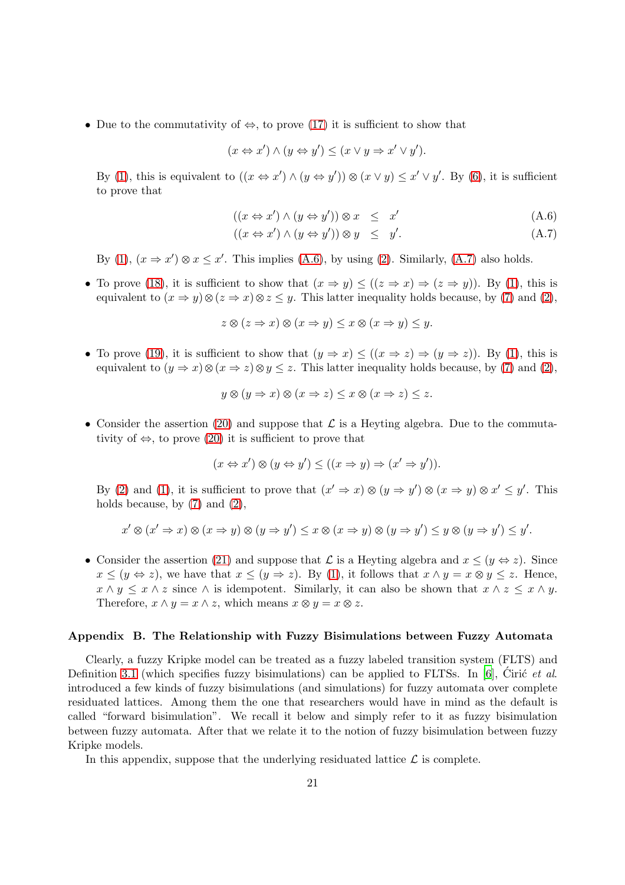• Due to the commutativity of  $\Leftrightarrow$ , to prove [\(17\)](#page-2-0) it is sufficient to show that

$$
(x \Leftrightarrow x') \land (y \Leftrightarrow y') \le (x \lor y \Rightarrow x' \lor y').
$$

By [\(1\)](#page-2-1), this is equivalent to  $((x \Leftrightarrow x') \wedge (y \Leftrightarrow y')) \otimes (x \vee y) \leq x' \vee y'$ . By [\(6\)](#page-2-0), it is sufficient to prove that

<span id="page-20-1"></span>
$$
((x \Leftrightarrow x') \wedge (y \Leftrightarrow y')) \otimes x \leq x' \tag{A.6}
$$

$$
((x \Leftrightarrow x') \wedge (y \Leftrightarrow y')) \otimes y \leq y'. \tag{A.7}
$$

By [\(1\)](#page-2-1),  $(x \Rightarrow x') \otimes x \leq x'$ . This implies [\(A.6\)](#page-20-1), by using [\(2\)](#page-2-0). Similarly, [\(A.7\)](#page-20-1) also holds.

• To prove [\(18\)](#page-2-0), it is sufficient to show that  $(x \Rightarrow y) \leq ((z \Rightarrow x) \Rightarrow (z \Rightarrow y))$ . By [\(1\)](#page-2-1), this is equivalent to  $(x \Rightarrow y) \otimes (z \Rightarrow x) \otimes z \leq y$ . This latter inequality holds because, by [\(7\)](#page-2-0) and [\(2\)](#page-2-0),

$$
z \otimes (z \Rightarrow x) \otimes (x \Rightarrow y) \le x \otimes (x \Rightarrow y) \le y.
$$

• To prove [\(19\)](#page-2-0), it is sufficient to show that  $(y \Rightarrow x) \leq ((x \Rightarrow z) \Rightarrow (y \Rightarrow z))$ . By [\(1\)](#page-2-1), this is equivalent to  $(y \Rightarrow x) \otimes (x \Rightarrow z) \otimes y \leq z$ . This latter inequality holds because, by [\(7\)](#page-2-0) and [\(2\)](#page-2-0),

$$
y \otimes (y \Rightarrow x) \otimes (x \Rightarrow z) \le x \otimes (x \Rightarrow z) \le z.
$$

• Consider the assertion [\(20\)](#page-3-0) and suppose that  $\mathcal L$  is a Heyting algebra. Due to the commutativity of  $\Leftrightarrow$ , to prove [\(20\)](#page-3-0) it is sufficient to prove that

$$
(x \Leftrightarrow x') \otimes (y \Leftrightarrow y') \le ((x \Rightarrow y) \Rightarrow (x' \Rightarrow y')).
$$

By [\(2\)](#page-2-0) and [\(1\)](#page-2-1), it is sufficient to prove that  $(x' \Rightarrow x) \otimes (y \Rightarrow y') \otimes (x \Rightarrow y) \otimes x' \leq y'$ . This holds because, by  $(7)$  and  $(2)$ ,

$$
x' \otimes (x' \Rightarrow x) \otimes (x \Rightarrow y) \otimes (y \Rightarrow y') \le x \otimes (x \Rightarrow y) \otimes (y \Rightarrow y') \le y \otimes (y \Rightarrow y') \le y'.
$$

• Consider the assertion [\(21\)](#page-3-0) and suppose that  $\mathcal L$  is a Heyting algebra and  $x \leq (y \Leftrightarrow z)$ . Since  $x \le (y \Leftrightarrow z)$ , we have that  $x \le (y \Rightarrow z)$ . By [\(1\)](#page-2-1), it follows that  $x \wedge y = x \otimes y \le z$ . Hence,  $x \wedge y \leq x \wedge z$  since  $\wedge$  is idempotent. Similarly, it can also be shown that  $x \wedge z \leq x \wedge y$ . Therefore,  $x \wedge y = x \wedge z$ , which means  $x \otimes y = x \otimes z$ .

#### <span id="page-20-0"></span>Appendix B. The Relationship with Fuzzy Bisimulations between Fuzzy Automata

Clearly, a fuzzy Kripke model can be treated as a fuzzy labeled transition system (FLTS) and Definition [3.1](#page-6-3) (which specifies fuzzy bisimulations) can be applied to FLTSs. In [\[6](#page-17-6)], Ciric et al. introduced a few kinds of fuzzy bisimulations (and simulations) for fuzzy automata over complete residuated lattices. Among them the one that researchers would have in mind as the default is called "forward bisimulation". We recall it below and simply refer to it as fuzzy bisimulation between fuzzy automata. After that we relate it to the notion of fuzzy bisimulation between fuzzy Kripke models.

In this appendix, suppose that the underlying residuated lattice  $\mathcal L$  is complete.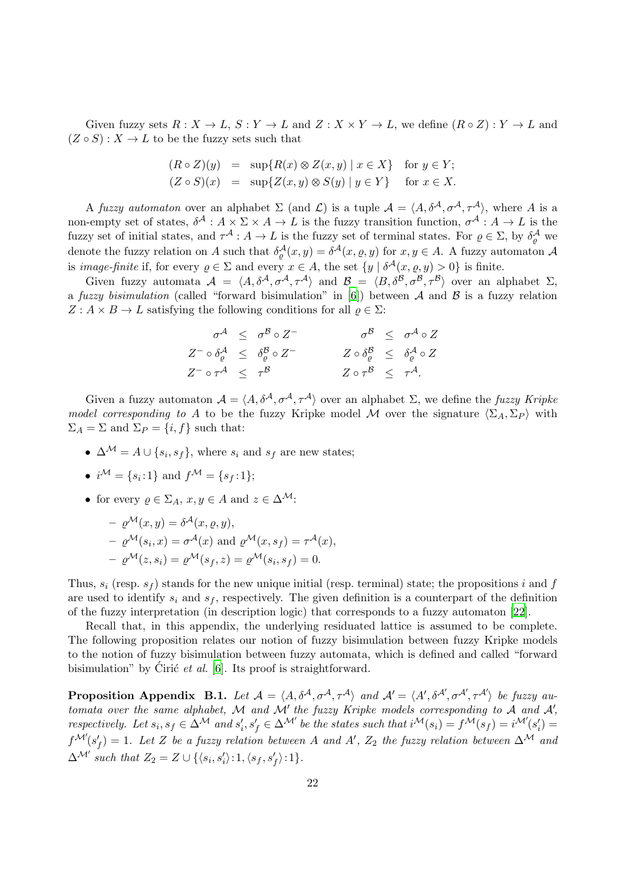Given fuzzy sets  $R: X \to L$ ,  $S: Y \to L$  and  $Z: X \times Y \to L$ , we define  $(R \circ Z): Y \to L$  and  $(Z \circ S) : X \to L$  to be the fuzzy sets such that

$$
(R \circ Z)(y) = \sup \{ R(x) \otimes Z(x, y) \mid x \in X \} \text{ for } y \in Y;
$$
  

$$
(Z \circ S)(x) = \sup \{ Z(x, y) \otimes S(y) \mid y \in Y \} \text{ for } x \in X.
$$

A fuzzy automaton over an alphabet  $\Sigma$  (and  $\mathcal{L}$ ) is a tuple  $\mathcal{A} = \langle A, \delta^{\mathcal{A}}, \sigma^{\mathcal{A}}, \tau^{\mathcal{A}} \rangle$ , where A is a non-empty set of states,  $\delta^{\mathcal{A}}: A \times \Sigma \times A \to L$  is the fuzzy transition function,  $\sigma^{\mathcal{A}}: A \to L$  is the fuzzy set of initial states, and  $\tau^{\mathcal{A}}: A \to L$  is the fuzzy set of terminal states. For  $\varrho \in \Sigma$ , by  $\delta_{\varrho}^{\mathcal{A}}$  we denote the fuzzy relation on A such that  $\delta_{\varrho}^{\mathcal{A}}(x,y) = \delta^{\mathcal{A}}(x,\varrho,y)$  for  $x, y \in A$ . A fuzzy automaton A is *image-finite* if, for every  $\varrho \in \Sigma$  and every  $x \in A$ , the set  $\{y \mid \delta^{\mathcal{A}}(x, \varrho, y) > 0\}$  is finite.

Given fuzzy automata  $A = \langle A, \delta^{\mathcal{A}}, \sigma^{\mathcal{A}}, \tau^{\mathcal{A}} \rangle$  and  $\mathcal{B} = \langle B, \delta^{\mathcal{B}}, \sigma^{\mathcal{B}}, \tau^{\mathcal{B}} \rangle$  over an alphabet  $\Sigma$ , a fuzzy bisimulation (called "forward bisimulation" in [\[6](#page-17-6)]) between A and B is a fuzzy relation  $Z: A \times B \to L$  satisfying the following conditions for all  $\rho \in \Sigma$ :

|                                                                                    | $\sigma^{\mathcal{A}} \;\; \leq \;\; \sigma^{\mathcal{B}} \circ Z^-$ |                                                        | $\sigma^\mathcal{B}$ $\leq \sigma^\mathcal{A} \circ Z$                         |
|------------------------------------------------------------------------------------|----------------------------------------------------------------------|--------------------------------------------------------|--------------------------------------------------------------------------------|
| $Z^- \circ \delta_{\rho}^{\mathcal{A}} \leq \delta_{\rho}^{\mathcal{B}} \circ Z^-$ |                                                                      |                                                        | $Z \circ \delta_{\rho}^{\mathcal{B}} \leq \delta_{\rho}^{\mathcal{A}} \circ Z$ |
| $Z^- \circ \tau^{\mathcal{A}} \leq \tau^{\mathcal{B}}$                             |                                                                      | $Z \circ \tau^{\mathcal{B}} \leq \tau^{\mathcal{A}}$ . |                                                                                |

Given a fuzzy automaton  $A = \langle A, \delta^{\mathcal{A}}, \sigma^{\mathcal{A}}, \tau^{\mathcal{A}} \rangle$  over an alphabet  $\Sigma$ , we define the fuzzy Kripke model corresponding to A to be the fuzzy Kripke model M over the signature  $\langle \Sigma_A, \Sigma_P \rangle$  with  $\Sigma_A = \Sigma$  and  $\Sigma_P = \{i, f\}$  such that:

- $\Delta^{\mathcal{M}} = A \cup \{s_i, s_f\}$ , where  $s_i$  and  $s_f$  are new states;
- $i^{\mathcal{M}} = \{s_i : 1\}$  and  $f^{\mathcal{M}} = \{s_f : 1\};$
- for every  $\rho \in \Sigma_A$ ,  $x, y \in A$  and  $z \in \Delta^{\mathcal{M}}$ :

$$
- \varrho^{\mathcal{M}}(x, y) = \delta^{\mathcal{A}}(x, \varrho, y),
$$
  
\n
$$
- \varrho^{\mathcal{M}}(s_i, x) = \sigma^{\mathcal{A}}(x) \text{ and } \varrho^{\mathcal{M}}(x, s_f) = \tau^{\mathcal{A}}(x),
$$
  
\n
$$
- \varrho^{\mathcal{M}}(z, s_i) = \varrho^{\mathcal{M}}(s_f, z) = \varrho^{\mathcal{M}}(s_i, s_f) = 0.
$$

Thus,  $s_i$  (resp.  $s_f$ ) stands for the new unique initial (resp. terminal) state; the propositions i and f are used to identify  $s_i$  and  $s_f$ , respectively. The given definition is a counterpart of the definition of the fuzzy interpretation (in description logic) that corresponds to a fuzzy automaton [\[22\]](#page-18-8).

Recall that, in this appendix, the underlying residuated lattice is assumed to be complete. The following proposition relates our notion of fuzzy bisimulation between fuzzy Kripke models to the notion of fuzzy bisimulation between fuzzy automata, which is defined and called "forward bisimulation" by Ciric *et al.* [\[6](#page-17-6)]. Its proof is straightforward.

**Proposition Appendix B.1.** Let  $\mathcal{A} = \langle A, \delta^{\mathcal{A}}, \sigma^{\mathcal{A}}, \tau^{\mathcal{A}} \rangle$  and  $\mathcal{A}' = \langle A', \delta^{\mathcal{A}'}, \sigma^{\mathcal{A}'}, \tau^{\mathcal{A}'} \rangle$  be fuzzy automata over the same alphabet, M and M' the fuzzy Kripke models corresponding to A and  $\mathcal{A}'$ , respectively. Let  $s_i, s_f \in \Delta^{\mathcal{M}}$  and  $s_i'$  $s'_i,s'_f\in \Delta^{\mathcal{M}'}$  be the states such that  $i^{\mathcal{M}}(s_i)=f^{\mathcal{M}}(s_f)=i^{\mathcal{M}'}(s'_i)$  $'_{i}) =$  $f^{\mathcal{M}'}(s')$  $(f) = 1$ . Let Z be a fuzzy relation between A and A', Z<sub>2</sub> the fuzzy relation between  $\Delta^{\mathcal{M}}$  and  $\Delta^{\mathcal{M}'}$  such that  $Z_2 = Z \cup \{\langle s_i, s'_i \rangle : 1, \langle s_f, s'_f \rangle : 1\}.$